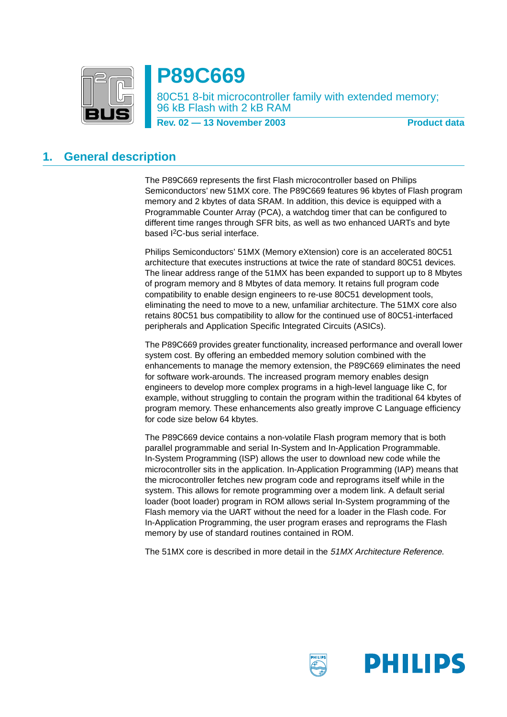

# **P89C669**

80C51 8-bit microcontroller family with extended memory; 96 kB Flash with 2 kB RAM

**Rev. 02 – 13 November 2003** Product data

# <span id="page-0-0"></span>**1. General description**

The P89C669 represents the first Flash microcontroller based on Philips Semiconductors' new 51MX core. The P89C669 features 96 kbytes of Flash program memory and 2 kbytes of data SRAM. In addition, this device is equipped with a Programmable Counter Array (PCA), a watchdog timer that can be configured to different time ranges through SFR bits, as well as two enhanced UARTs and byte based I2C-bus serial interface.

Philips Semiconductors' 51MX (Memory eXtension) core is an accelerated 80C51 architecture that executes instructions at twice the rate of standard 80C51 devices. The linear address range of the 51MX has been expanded to support up to 8 Mbytes of program memory and 8 Mbytes of data memory. It retains full program code compatibility to enable design engineers to re-use 80C51 development tools, eliminating the need to move to a new, unfamiliar architecture. The 51MX core also retains 80C51 bus compatibility to allow for the continued use of 80C51-interfaced peripherals and Application Specific Integrated Circuits (ASICs).

The P89C669 provides greater functionality, increased performance and overall lower system cost. By offering an embedded memory solution combined with the enhancements to manage the memory extension, the P89C669 eliminates the need for software work-arounds. The increased program memory enables design engineers to develop more complex programs in a high-level language like C, for example, without struggling to contain the program within the traditional 64 kbytes of program memory. These enhancements also greatly improve C Language efficiency for code size below 64 kbytes.

The P89C669 device contains a non-volatile Flash program memory that is both parallel programmable and serial In-System and In-Application Programmable. In-System Programming (ISP) allows the user to download new code while the microcontroller sits in the application. In-Application Programming (IAP) means that the microcontroller fetches new program code and reprograms itself while in the system. This allows for remote programming over a modem link. A default serial loader (boot loader) program in ROM allows serial In-System programming of the Flash memory via the UART without the need for a loader in the Flash code. For In-Application Programming, the user program erases and reprograms the Flash memory by use of standard routines contained in ROM.

The 51MX core is described in more detail in the 51MX Architecture Reference.

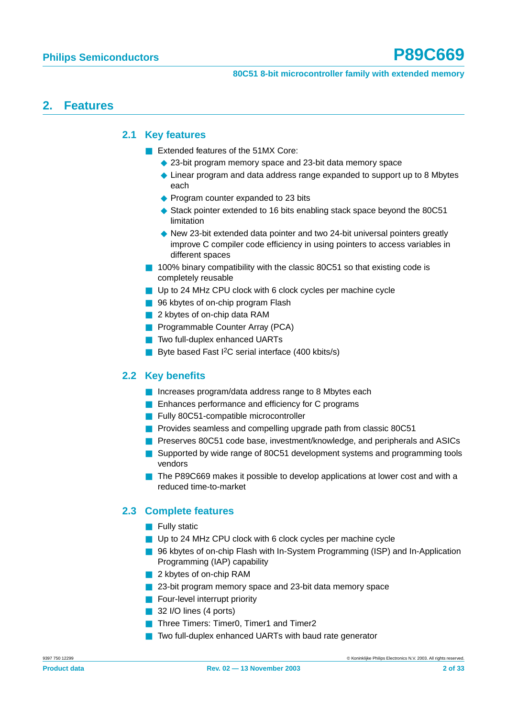# <span id="page-1-1"></span><span id="page-1-0"></span>**2. Features**

### **2.1 Key features**

- Extended features of the 51MX Core:
	- ◆ 23-bit program memory space and 23-bit data memory space
	- ◆ Linear program and data address range expanded to support up to 8 Mbytes each
	- ◆ Program counter expanded to 23 bits
	- ◆ Stack pointer extended to 16 bits enabling stack space beyond the 80C51 limitation
	- ◆ New 23-bit extended data pointer and two 24-bit universal pointers greatly improve C compiler code efficiency in using pointers to access variables in different spaces
- 100% binary compatibility with the classic 80C51 so that existing code is completely reusable
- Up to 24 MHz CPU clock with 6 clock cycles per machine cycle
- 96 kbytes of on-chip program Flash
- 2 kbytes of on-chip data RAM
- Programmable Counter Array (PCA)
- Two full-duplex enhanced UARTs
- Byte based Fast <sup>2</sup>C serial interface (400 kbits/s)

## <span id="page-1-2"></span>**2.2 Key benefits**

- Increases program/data address range to 8 Mbytes each
- Enhances performance and efficiency for C programs
- Fully 80C51-compatible microcontroller
- Provides seamless and compelling upgrade path from classic 80C51
- Preserves 80C51 code base, investment/knowledge, and peripherals and ASICs
- Supported by wide range of 80C51 development systems and programming tools vendors
- The P89C669 makes it possible to develop applications at lower cost and with a reduced time-to-market

### <span id="page-1-3"></span>**2.3 Complete features**

- Fully static
- Up to 24 MHz CPU clock with 6 clock cycles per machine cycle
- 96 kbytes of on-chip Flash with In-System Programming (ISP) and In-Application Programming (IAP) capability
- 2 kbytes of on-chip RAM
- 23-bit program memory space and 23-bit data memory space
- Four-level interrupt priority
- 32 I/O lines (4 ports)
- Three Timers: Timer0, Timer1 and Timer2
- Two full-duplex enhanced UARTs with baud rate generator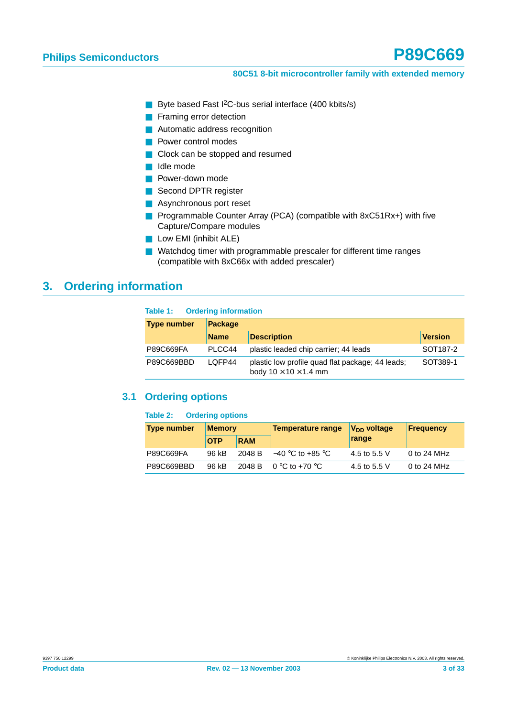- Byte based Fast I<sup>2</sup>C-bus serial interface (400 kbits/s)
- Framing error detection
- Automatic address recognition
- Power control modes
- Clock can be stopped and resumed
- Idle mode
- Power-down mode
- Second DPTR register
- Asynchronous port reset
- Programmable Counter Array (PCA) (compatible with 8xC51Rx+) with five Capture/Compare modules
- Low EMI (inhibit ALE)
- Watchdog timer with programmable prescaler for different time ranges (compatible with 8xC66x with added prescaler)

# <span id="page-2-0"></span>**3. Ordering information**

#### **Table 1: Ordering information**

| <b>Type number</b> | <b>Package</b> |                                                                                       |                      |  |  |  |  |  |  |
|--------------------|----------------|---------------------------------------------------------------------------------------|----------------------|--|--|--|--|--|--|
|                    | <b>Name</b>    | <b>Description</b>                                                                    | <b>Version</b>       |  |  |  |  |  |  |
| P89C669FA          | PLCC44         | plastic leaded chip carrier; 44 leads                                                 | SOT <sub>187-2</sub> |  |  |  |  |  |  |
| P89C669BBD         | LOFP44         | plastic low profile quad flat package; 44 leads;<br>body $10 \times 10 \times 1.4$ mm | SOT389-1             |  |  |  |  |  |  |

## <span id="page-2-1"></span>**3.1 Ordering options**

#### **Table 2: Ordering options**

| <b>Type number</b> | <b>Memory</b> |            | Temperature range                                        | V <sub>DD</sub> voltage | <b>Frequency</b> |  |  |
|--------------------|---------------|------------|----------------------------------------------------------|-------------------------|------------------|--|--|
|                    | <b>OTP</b>    | <b>RAM</b> |                                                          | range                   |                  |  |  |
| P89C669FA          | 96 kB         |            | 2048 B $-40\,^{\circ}\text{C}$ to +85 $^{\circ}\text{C}$ | 4.5 to 5.5 V            | 0 to 24 MHz      |  |  |
| P89C669BBD         | 96 kB         |            | 2048 B 0 $\degree$ C to +70 $\degree$ C                  | 4.5 to 5.5 V            | 0 to 24 MHz      |  |  |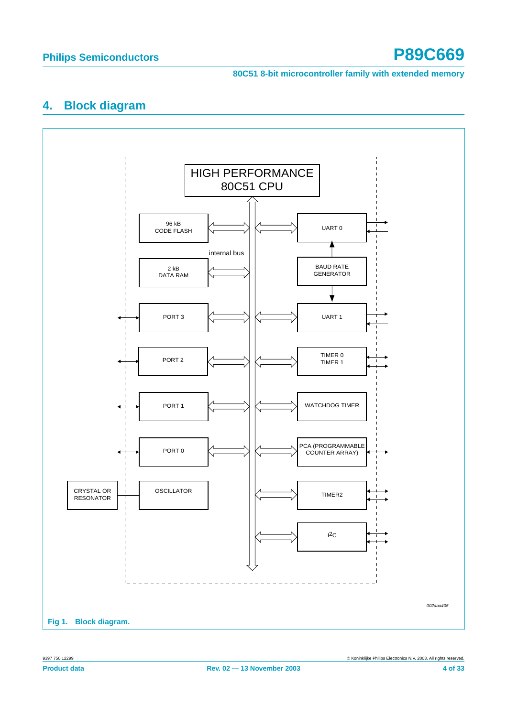# <span id="page-3-0"></span>**4. Block diagram**

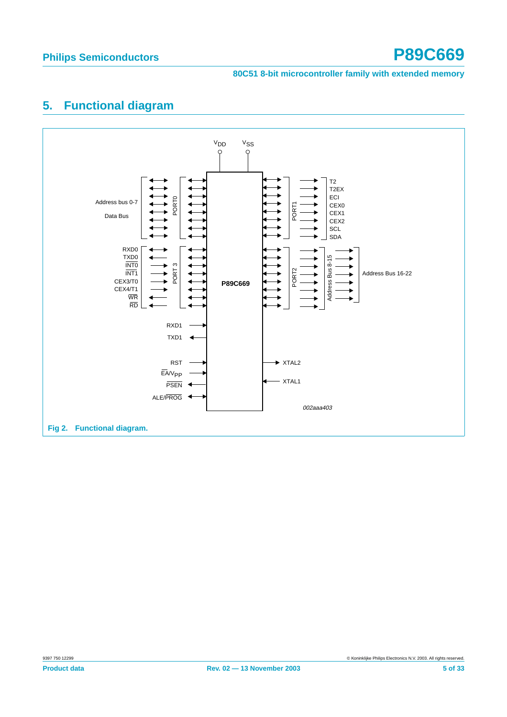# <span id="page-4-0"></span>**5. Functional diagram**

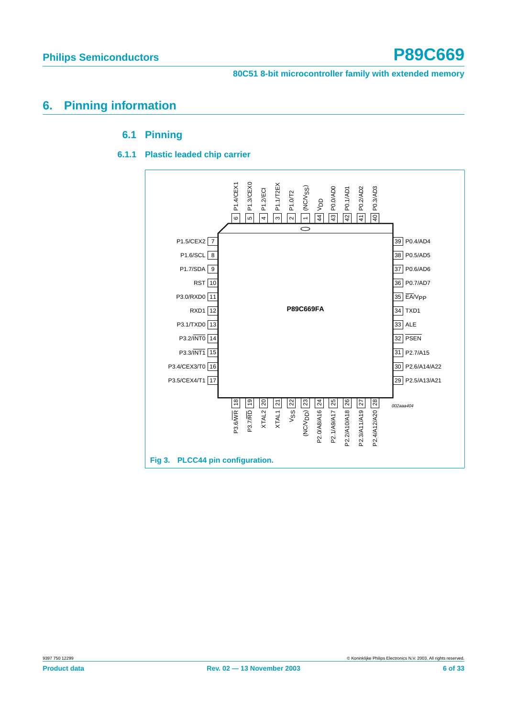# <span id="page-5-2"></span><span id="page-5-1"></span><span id="page-5-0"></span>**6. Pinning information**

### **6.1 Pinning**

### **6.1.1 Plastic leaded chip carrier**

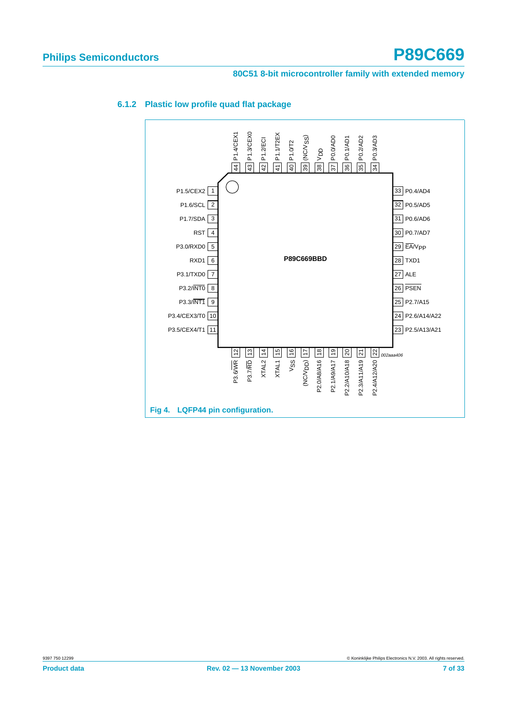

#### <span id="page-6-0"></span>**6.1.2 Plastic low profile quad flat package**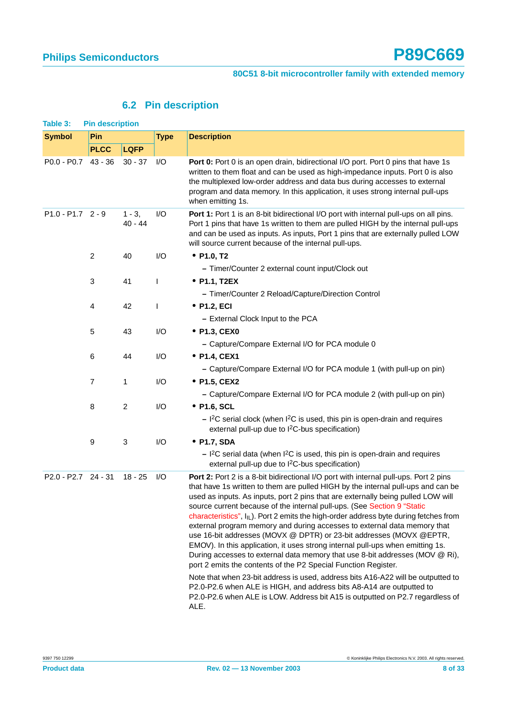# **6.2 Pin description**

<span id="page-7-0"></span>

| Table 3:            | <b>Pin description</b> |                        |              |                                                                                                                                                                                                                                                                                                                                                                                                                                                                                                                                                                                                                                                                                                                                                                                                                                                                                                                                                                                                                                                                                   |
|---------------------|------------------------|------------------------|--------------|-----------------------------------------------------------------------------------------------------------------------------------------------------------------------------------------------------------------------------------------------------------------------------------------------------------------------------------------------------------------------------------------------------------------------------------------------------------------------------------------------------------------------------------------------------------------------------------------------------------------------------------------------------------------------------------------------------------------------------------------------------------------------------------------------------------------------------------------------------------------------------------------------------------------------------------------------------------------------------------------------------------------------------------------------------------------------------------|
| <b>Symbol</b>       | Pin                    |                        | <b>Type</b>  | <b>Description</b>                                                                                                                                                                                                                                                                                                                                                                                                                                                                                                                                                                                                                                                                                                                                                                                                                                                                                                                                                                                                                                                                |
|                     | <b>PLCC</b>            | <b>LQFP</b>            |              |                                                                                                                                                                                                                                                                                                                                                                                                                                                                                                                                                                                                                                                                                                                                                                                                                                                                                                                                                                                                                                                                                   |
| P0.0 - P0.7 43 - 36 |                        | $30 - 37$              | I/O          | Port 0: Port 0 is an open drain, bidirectional I/O port. Port 0 pins that have 1s<br>written to them float and can be used as high-impedance inputs. Port 0 is also<br>the multiplexed low-order address and data bus during accesses to external<br>program and data memory. In this application, it uses strong internal pull-ups<br>when emitting 1s.                                                                                                                                                                                                                                                                                                                                                                                                                                                                                                                                                                                                                                                                                                                          |
| P1.0 - P1.7 2 - 9   |                        | $1 - 3$ ,<br>$40 - 44$ | I/O          | Port 1: Port 1 is an 8-bit bidirectional I/O port with internal pull-ups on all pins.<br>Port 1 pins that have 1s written to them are pulled HIGH by the internal pull-ups<br>and can be used as inputs. As inputs, Port 1 pins that are externally pulled LOW<br>will source current because of the internal pull-ups.                                                                                                                                                                                                                                                                                                                                                                                                                                                                                                                                                                                                                                                                                                                                                           |
|                     | $\overline{c}$         | 40                     | I/O          | • P1.0, T2                                                                                                                                                                                                                                                                                                                                                                                                                                                                                                                                                                                                                                                                                                                                                                                                                                                                                                                                                                                                                                                                        |
|                     |                        |                        |              | - Timer/Counter 2 external count input/Clock out                                                                                                                                                                                                                                                                                                                                                                                                                                                                                                                                                                                                                                                                                                                                                                                                                                                                                                                                                                                                                                  |
|                     | 3                      | 41                     | $\mathbf{I}$ | • P1.1, T2EX                                                                                                                                                                                                                                                                                                                                                                                                                                                                                                                                                                                                                                                                                                                                                                                                                                                                                                                                                                                                                                                                      |
|                     |                        |                        |              | - Timer/Counter 2 Reload/Capture/Direction Control                                                                                                                                                                                                                                                                                                                                                                                                                                                                                                                                                                                                                                                                                                                                                                                                                                                                                                                                                                                                                                |
|                     | 4                      | 42                     | I            | • P1.2, ECI                                                                                                                                                                                                                                                                                                                                                                                                                                                                                                                                                                                                                                                                                                                                                                                                                                                                                                                                                                                                                                                                       |
|                     |                        |                        |              | - External Clock Input to the PCA                                                                                                                                                                                                                                                                                                                                                                                                                                                                                                                                                                                                                                                                                                                                                                                                                                                                                                                                                                                                                                                 |
|                     | 5                      | 43                     | I/O          | • P1.3, CEX0                                                                                                                                                                                                                                                                                                                                                                                                                                                                                                                                                                                                                                                                                                                                                                                                                                                                                                                                                                                                                                                                      |
|                     |                        |                        |              | - Capture/Compare External I/O for PCA module 0                                                                                                                                                                                                                                                                                                                                                                                                                                                                                                                                                                                                                                                                                                                                                                                                                                                                                                                                                                                                                                   |
|                     | 6                      | 44                     | I/O          | • P1.4, CEX1                                                                                                                                                                                                                                                                                                                                                                                                                                                                                                                                                                                                                                                                                                                                                                                                                                                                                                                                                                                                                                                                      |
|                     |                        |                        |              | - Capture/Compare External I/O for PCA module 1 (with pull-up on pin)                                                                                                                                                                                                                                                                                                                                                                                                                                                                                                                                                                                                                                                                                                                                                                                                                                                                                                                                                                                                             |
|                     | 7                      | 1                      | I/O          | • P1.5, CEX2                                                                                                                                                                                                                                                                                                                                                                                                                                                                                                                                                                                                                                                                                                                                                                                                                                                                                                                                                                                                                                                                      |
|                     |                        |                        |              | - Capture/Compare External I/O for PCA module 2 (with pull-up on pin)                                                                                                                                                                                                                                                                                                                                                                                                                                                                                                                                                                                                                                                                                                                                                                                                                                                                                                                                                                                                             |
|                     | 8                      | $\overline{c}$         | I/O          | • P1.6, SCL                                                                                                                                                                                                                                                                                                                                                                                                                                                                                                                                                                                                                                                                                                                                                                                                                                                                                                                                                                                                                                                                       |
|                     |                        |                        |              | $-$ I <sup>2</sup> C serial clock (when I <sup>2</sup> C is used, this pin is open-drain and requires<br>external pull-up due to I <sup>2</sup> C-bus specification)                                                                                                                                                                                                                                                                                                                                                                                                                                                                                                                                                                                                                                                                                                                                                                                                                                                                                                              |
|                     | 9                      | 3                      | I/O          | • P1.7, SDA                                                                                                                                                                                                                                                                                                                                                                                                                                                                                                                                                                                                                                                                                                                                                                                                                                                                                                                                                                                                                                                                       |
|                     |                        |                        |              | $-$ I <sup>2</sup> C serial data (when I <sup>2</sup> C is used, this pin is open-drain and requires<br>external pull-up due to I <sup>2</sup> C-bus specification)                                                                                                                                                                                                                                                                                                                                                                                                                                                                                                                                                                                                                                                                                                                                                                                                                                                                                                               |
| P2.0 - P2.7 24 - 31 |                        | $18 - 25$              | I/O          | Port 2: Port 2 is a 8-bit bidirectional I/O port with internal pull-ups. Port 2 pins<br>that have 1s written to them are pulled HIGH by the internal pull-ups and can be<br>used as inputs. As inputs, port 2 pins that are externally being pulled LOW will<br>source current because of the internal pull-ups. (See Section 9 "Static<br>characteristics", $I_{IL}$ ). Port 2 emits the high-order address byte during fetches from<br>external program memory and during accesses to external data memory that<br>use 16-bit addresses (MOVX @ DPTR) or 23-bit addresses (MOVX @EPTR,<br>EMOV). In this application, it uses strong internal pull-ups when emitting 1s.<br>During accesses to external data memory that use 8-bit addresses (MOV @ Ri),<br>port 2 emits the contents of the P2 Special Function Register.<br>Note that when 23-bit address is used, address bits A16-A22 will be outputted to<br>P2.0-P2.6 when ALE is HIGH, and address bits A8-A14 are outputted to<br>P2.0-P2.6 when ALE is LOW. Address bit A15 is outputted on P2.7 regardless of<br>ALE. |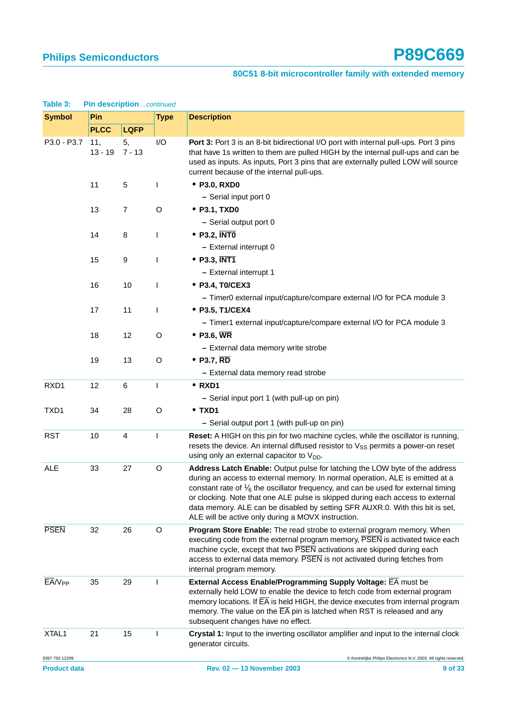| <b>Lable 3.</b><br><b>FIII USSUI PUUILCONNINGU</b><br>Pin<br><b>Symbol</b> |                  |                         |              | <b>Description</b>                                                                                                                                                                                                                                                                                                                                                                                                                                                                    |  |  |  |  |  |  |
|----------------------------------------------------------------------------|------------------|-------------------------|--------------|---------------------------------------------------------------------------------------------------------------------------------------------------------------------------------------------------------------------------------------------------------------------------------------------------------------------------------------------------------------------------------------------------------------------------------------------------------------------------------------|--|--|--|--|--|--|
|                                                                            | <b>PLCC</b>      |                         | <b>Type</b>  |                                                                                                                                                                                                                                                                                                                                                                                                                                                                                       |  |  |  |  |  |  |
| P3.0 - P3.7                                                                |                  | <b>LQFP</b>             | I/O          |                                                                                                                                                                                                                                                                                                                                                                                                                                                                                       |  |  |  |  |  |  |
|                                                                            | 11,<br>$13 - 19$ | 5,<br>$7 - 13$          |              | Port 3: Port 3 is an 8-bit bidirectional I/O port with internal pull-ups. Port 3 pins<br>that have 1s written to them are pulled HIGH by the internal pull-ups and can be<br>used as inputs. As inputs, Port 3 pins that are externally pulled LOW will source<br>current because of the internal pull-ups.                                                                                                                                                                           |  |  |  |  |  |  |
|                                                                            | 11               | 5                       | T            | • P3.0, RXD0                                                                                                                                                                                                                                                                                                                                                                                                                                                                          |  |  |  |  |  |  |
|                                                                            |                  |                         |              | - Serial input port 0                                                                                                                                                                                                                                                                                                                                                                                                                                                                 |  |  |  |  |  |  |
|                                                                            | 13               | $\overline{7}$          | $\circ$      | • P3.1, TXD0                                                                                                                                                                                                                                                                                                                                                                                                                                                                          |  |  |  |  |  |  |
|                                                                            |                  |                         |              | - Serial output port 0                                                                                                                                                                                                                                                                                                                                                                                                                                                                |  |  |  |  |  |  |
|                                                                            | 14               | 8                       | T            | $\bullet$ P3.2, INTO                                                                                                                                                                                                                                                                                                                                                                                                                                                                  |  |  |  |  |  |  |
|                                                                            |                  |                         |              | - External interrupt 0                                                                                                                                                                                                                                                                                                                                                                                                                                                                |  |  |  |  |  |  |
|                                                                            | 15               | 9                       | L            | $\bullet$ P3.3, INT1                                                                                                                                                                                                                                                                                                                                                                                                                                                                  |  |  |  |  |  |  |
|                                                                            |                  |                         |              | - External interrupt 1                                                                                                                                                                                                                                                                                                                                                                                                                                                                |  |  |  |  |  |  |
|                                                                            | 16               | 10                      | $\mathbf{I}$ | • P3.4, T0/CEX3                                                                                                                                                                                                                                                                                                                                                                                                                                                                       |  |  |  |  |  |  |
|                                                                            |                  |                         |              | - Timer0 external input/capture/compare external I/O for PCA module 3                                                                                                                                                                                                                                                                                                                                                                                                                 |  |  |  |  |  |  |
|                                                                            | 17               | 11                      | $\mathbf{I}$ | • P3.5, T1/CEX4                                                                                                                                                                                                                                                                                                                                                                                                                                                                       |  |  |  |  |  |  |
|                                                                            |                  |                         |              | - Timer1 external input/capture/compare external I/O for PCA module 3                                                                                                                                                                                                                                                                                                                                                                                                                 |  |  |  |  |  |  |
|                                                                            | 18               | 12                      | $\circ$      | $\bullet$ P3.6, WR                                                                                                                                                                                                                                                                                                                                                                                                                                                                    |  |  |  |  |  |  |
|                                                                            |                  |                         |              | - External data memory write strobe                                                                                                                                                                                                                                                                                                                                                                                                                                                   |  |  |  |  |  |  |
|                                                                            | 19               | 13                      | $\circ$      | $\bullet$ P3.7, RD                                                                                                                                                                                                                                                                                                                                                                                                                                                                    |  |  |  |  |  |  |
|                                                                            |                  |                         |              | - External data memory read strobe                                                                                                                                                                                                                                                                                                                                                                                                                                                    |  |  |  |  |  |  |
| RXD1                                                                       | 12               | 6                       | $\mathbf{I}$ | $\bullet$ RXD1                                                                                                                                                                                                                                                                                                                                                                                                                                                                        |  |  |  |  |  |  |
|                                                                            |                  |                         |              | - Serial input port 1 (with pull-up on pin)                                                                                                                                                                                                                                                                                                                                                                                                                                           |  |  |  |  |  |  |
| TXD1                                                                       | 34               | 28                      | $\circ$      | • TXD1                                                                                                                                                                                                                                                                                                                                                                                                                                                                                |  |  |  |  |  |  |
|                                                                            |                  |                         |              | - Serial output port 1 (with pull-up on pin)                                                                                                                                                                                                                                                                                                                                                                                                                                          |  |  |  |  |  |  |
| <b>RST</b>                                                                 | 10               | $\overline{\mathbf{4}}$ | $\mathbf{I}$ | Reset: A HIGH on this pin for two machine cycles, while the oscillator is running,<br>resets the device. An internal diffused resistor to V <sub>SS</sub> permits a power-on reset<br>using only an external capacitor to $V_{DD}$ .                                                                                                                                                                                                                                                  |  |  |  |  |  |  |
| <b>ALE</b>                                                                 | 33               | 27                      | O            | Address Latch Enable: Output pulse for latching the LOW byte of the address<br>during an access to external memory. In normal operation, ALE is emitted at a<br>constant rate of $\frac{1}{6}$ the oscillator frequency, and can be used for external timing<br>or clocking. Note that one ALE pulse is skipped during each access to external<br>data memory. ALE can be disabled by setting SFR AUXR.0. With this bit is set,<br>ALE will be active only during a MOVX instruction. |  |  |  |  |  |  |
| <b>PSEN</b>                                                                | 32               | 26                      | O            | Program Store Enable: The read strobe to external program memory. When<br>executing code from the external program memory, PSEN is activated twice each<br>machine cycle, except that two PSEN activations are skipped during each<br>access to external data memory. PSEN is not activated during fetches from<br>internal program memory.                                                                                                                                           |  |  |  |  |  |  |
| $EAV_{PP}$                                                                 | 35               | 29                      | I.           | <b>External Access Enable/Programming Supply Voltage: EA must be</b><br>externally held LOW to enable the device to fetch code from external program<br>memory locations. If $\overline{EA}$ is held HIGH, the device executes from internal program<br>memory. The value on the $\overline{EA}$ pin is latched when RST is released and any<br>subsequent changes have no effect.                                                                                                    |  |  |  |  |  |  |
| XTAL <sub>1</sub>                                                          | 21               | 15                      | I.           | Crystal 1: Input to the inverting oscillator amplifier and input to the internal clock<br>generator circuits.                                                                                                                                                                                                                                                                                                                                                                         |  |  |  |  |  |  |
| 9397 750 12299                                                             |                  |                         |              | © Koninklijke Philips Electronics N.V. 2003. All rights reserved.                                                                                                                                                                                                                                                                                                                                                                                                                     |  |  |  |  |  |  |

### **Table 3: Pin description**…continued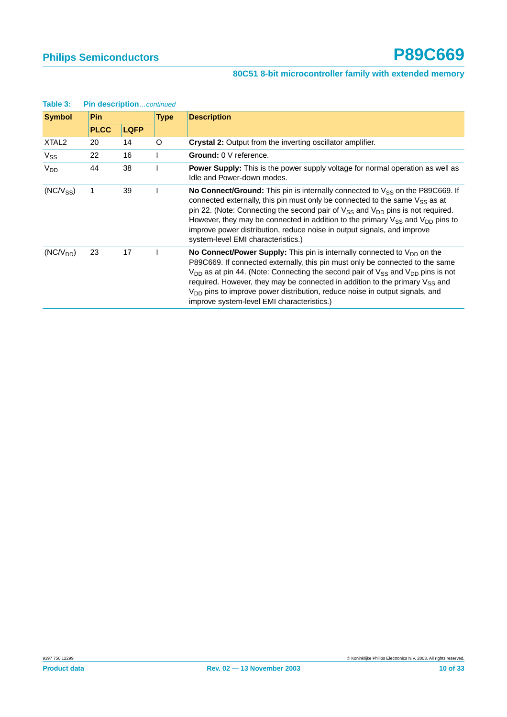| rapie of          | <b>PIN GESCHIPHONCOMMUTED</b> |             |   |                                                                                                                                                                                                                                                                                                                                                                                                                                                                                             |
|-------------------|-------------------------------|-------------|---|---------------------------------------------------------------------------------------------------------------------------------------------------------------------------------------------------------------------------------------------------------------------------------------------------------------------------------------------------------------------------------------------------------------------------------------------------------------------------------------------|
| <b>Symbol</b>     | <b>Pin</b>                    |             |   | <b>Description</b>                                                                                                                                                                                                                                                                                                                                                                                                                                                                          |
|                   | <b>PLCC</b>                   | <b>LQFP</b> |   |                                                                                                                                                                                                                                                                                                                                                                                                                                                                                             |
| XTAL <sub>2</sub> | 20                            | 14          | O | Crystal 2: Output from the inverting oscillator amplifier.                                                                                                                                                                                                                                                                                                                                                                                                                                  |
| $V_{SS}$          | 22                            | 16          |   | <b>Ground: 0 V reference.</b>                                                                                                                                                                                                                                                                                                                                                                                                                                                               |
| V <sub>DD</sub>   | 44                            | 38          |   | <b>Power Supply:</b> This is the power supply voltage for normal operation as well as<br>Idle and Power-down modes.                                                                                                                                                                                                                                                                                                                                                                         |
| $(NC/V_{SS})$     | 1                             | 39          |   | <b>No Connect/Ground:</b> This pin is internally connected to $V_{SS}$ on the P89C669. If<br>connected externally, this pin must only be connected to the same $V_{SS}$ as at<br>pin 22. (Note: Connecting the second pair of $V_{SS}$ and $V_{DD}$ pins is not required.<br>However, they may be connected in addition to the primary $V_{SS}$ and $V_{DD}$ pins to<br>improve power distribution, reduce noise in output signals, and improve<br>system-level EMI characteristics.)       |
| $(NC/V_{DD})$     | 23                            | 17          |   | <b>No Connect/Power Supply:</b> This pin is internally connected to $V_{DD}$ on the<br>P89C669. If connected externally, this pin must only be connected to the same<br>$V_{DD}$ as at pin 44. (Note: Connecting the second pair of $V_{SS}$ and $V_{DD}$ pins is not<br>required. However, they may be connected in addition to the primary $V_{SS}$ and<br>$V_{DD}$ pins to improve power distribution, reduce noise in output signals, and<br>improve system-level EMI characteristics.) |

# **Table 3:** Pin description continued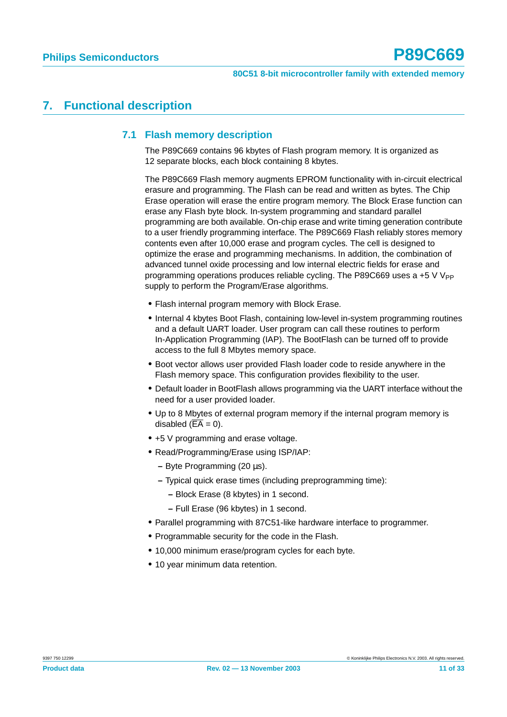# <span id="page-10-1"></span><span id="page-10-0"></span>**7. Functional description**

### **7.1 Flash memory description**

The P89C669 contains 96 kbytes of Flash program memory. It is organized as 12 separate blocks, each block containing 8 kbytes.

The P89C669 Flash memory augments EPROM functionality with in-circuit electrical erasure and programming. The Flash can be read and written as bytes. The Chip Erase operation will erase the entire program memory. The Block Erase function can erase any Flash byte block. In-system programming and standard parallel programming are both available. On-chip erase and write timing generation contribute to a user friendly programming interface. The P89C669 Flash reliably stores memory contents even after 10,000 erase and program cycles. The cell is designed to optimize the erase and programming mechanisms. In addition, the combination of advanced tunnel oxide processing and low internal electric fields for erase and programming operations produces reliable cycling. The P89C669 uses a  $+5$  V V<sub>PP</sub> supply to perform the Program/Erase algorithms.

- **•** Flash internal program memory with Block Erase.
- **•** Internal 4 kbytes Boot Flash, containing low-level in-system programming routines and a default UART loader. User program can call these routines to perform In-Application Programming (IAP). The BootFlash can be turned off to provide access to the full 8 Mbytes memory space.
- **•** Boot vector allows user provided Flash loader code to reside anywhere in the Flash memory space. This configuration provides flexibility to the user.
- **•** Default loader in BootFlash allows programming via the UART interface without the need for a user provided loader.
- **•** Up to 8 Mbytes of external program memory if the internal program memory is disabled  $(\overline{EA} = 0)$ .
- **•** +5 V programming and erase voltage.
- **•** Read/Programming/Erase using ISP/IAP:
	- **–** Byte Programming (20 µs).
	- **–** Typical quick erase times (including preprogramming time):
		- **–** Block Erase (8 kbytes) in 1 second.
		- **–** Full Erase (96 kbytes) in 1 second.
- **•** Parallel programming with 87C51-like hardware interface to programmer.
- **•** Programmable security for the code in the Flash.
- **•** 10,000 minimum erase/program cycles for each byte.
- **•** 10 year minimum data retention.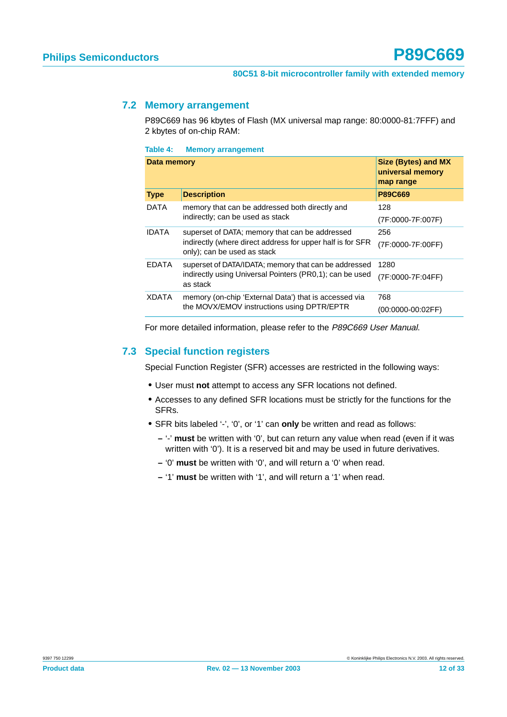### <span id="page-11-0"></span>**7.2 Memory arrangement**

P89C669 has 96 kbytes of Flash (MX universal map range: 80:0000-81:7FFF) and 2 kbytes of on-chip RAM:

**Table 4: Memory arrangement**

| Data memory  |                                                                                                                                             | <b>Size (Bytes) and MX</b><br>universal memory<br>map range |
|--------------|---------------------------------------------------------------------------------------------------------------------------------------------|-------------------------------------------------------------|
| <b>Type</b>  | <b>Description</b>                                                                                                                          | <b>P89C669</b>                                              |
| DATA         | memory that can be addressed both directly and<br>indirectly; can be used as stack                                                          | 128<br>(7F:0000-7F:007F)                                    |
| <b>IDATA</b> | superset of DATA; memory that can be addressed<br>indirectly (where direct address for upper half is for SFR<br>only); can be used as stack | 256<br>(7F:0000-7F:00FF)                                    |
| <b>EDATA</b> | superset of DATA/IDATA; memory that can be addressed<br>indirectly using Universal Pointers (PR0.1); can be used<br>as stack                | 1280<br>(7F:0000-7F:04FF)                                   |
| XDATA        | memory (on-chip 'External Data') that is accessed via<br>the MOVX/EMOV instructions using DPTR/EPTR                                         | 768<br>$(00:0000-00:02FF)$                                  |

For more detailed information, please refer to the P89C669 User Manual.

### <span id="page-11-1"></span>**7.3 Special function registers**

Special Function Register (SFR) accesses are restricted in the following ways:

- **•** User must **not** attempt to access any SFR locations not defined.
- **•** Accesses to any defined SFR locations must be strictly for the functions for the SFRs.
- **•** SFR bits labeled '-', '0', or '1' can **only** be written and read as follows:
	- **–** '-' **must** be written with '0', but can return any value when read (even if it was written with '0'). It is a reserved bit and may be used in future derivatives.
	- **–** '0' **must** be written with '0', and will return a '0' when read.
	- **–** '1' **must** be written with '1', and will return a '1' when read.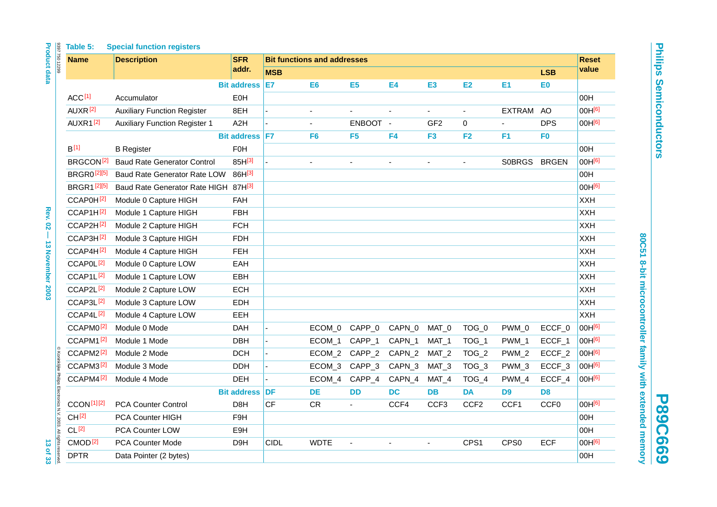|                                                                  | Table 5:              | <b>Special function registers</b>    |                    |                                    |                |                |           |                  |                  |                  |                  |                    |
|------------------------------------------------------------------|-----------------------|--------------------------------------|--------------------|------------------------------------|----------------|----------------|-----------|------------------|------------------|------------------|------------------|--------------------|
| <b>Product data</b><br>8397 750 12299                            | <b>Name</b>           | <b>Description</b>                   | <b>SFR</b>         | <b>Bit functions and addresses</b> |                |                |           |                  |                  |                  |                  | <b>Reset</b>       |
|                                                                  |                       |                                      | addr.              | <b>MSB</b>                         |                |                |           |                  |                  |                  | <b>LSB</b>       | value              |
|                                                                  |                       |                                      | <b>Bit address</b> | E7                                 | E <sub>6</sub> | E <sub>5</sub> | <b>E4</b> | E <sub>3</sub>   | E <sub>2</sub>   | E1               | E0               |                    |
|                                                                  | ACC <sup>[1]</sup>    | Accumulator                          | E <sub>0</sub> H   |                                    |                |                |           |                  |                  |                  |                  | 00H                |
|                                                                  | AUXR <sup>[2]</sup>   | <b>Auxiliary Function Register</b>   | 8EH                |                                    |                |                |           |                  |                  | <b>EXTRAM</b>    | AO               | 00H[6]             |
|                                                                  | AUXR1 <sup>[2]</sup>  | <b>Auxiliary Function Register 1</b> | A <sub>2</sub> H   |                                    | $\blacksquare$ | ENBOOT -       |           | GF <sub>2</sub>  | $\mathbf 0$      | $\blacksquare$   | <b>DPS</b>       | 00H[6]             |
|                                                                  |                       |                                      | Bit address   F7   |                                    | F <sub>6</sub> | F <sub>5</sub> | F4        | F <sub>3</sub>   | F2               | F <sub>1</sub>   | F <sub>0</sub>   |                    |
|                                                                  | B <sup>[1]</sup>      | <b>B</b> Register                    | <b>F0H</b>         |                                    |                |                |           |                  |                  |                  |                  | 00H                |
|                                                                  | BRGCON <sup>[2]</sup> | <b>Baud Rate Generator Control</b>   | 85H[3]             |                                    | ä,             |                |           |                  |                  | SOBRGS BRGEN     |                  | 00H[6]             |
|                                                                  | <b>BRGR0[2][5]</b>    | Baud Rate Generator Rate LOW         | 86H[3]             |                                    |                |                |           |                  |                  |                  |                  | 00H                |
|                                                                  | <b>BRGR1[2][5]</b>    | Baud Rate Generator Rate HIGH 87H[3] |                    |                                    |                |                |           |                  |                  |                  |                  | 00H[6]             |
|                                                                  | CCAP0H <sup>[2]</sup> | Module 0 Capture HIGH                | <b>FAH</b>         |                                    |                |                |           |                  |                  |                  |                  | <b>XXH</b>         |
| <b>Rev. 02</b>                                                   | CCAP1H <sup>[2]</sup> | Module 1 Capture HIGH                | <b>FBH</b>         |                                    |                |                |           |                  |                  |                  |                  | <b>XXH</b>         |
|                                                                  | CCAP2H <sup>[2]</sup> | Module 2 Capture HIGH                | <b>FCH</b>         |                                    |                |                |           |                  |                  |                  |                  | <b>XXH</b>         |
| T                                                                | CCAP3H <sup>[2]</sup> | Module 3 Capture HIGH                | <b>FDH</b>         |                                    |                |                |           |                  |                  |                  |                  | <b>XXH</b>         |
|                                                                  | CCAP4H <sup>[2]</sup> | Module 4 Capture HIGH                | <b>FEH</b>         |                                    |                |                |           |                  |                  |                  |                  | <b>XXH</b>         |
|                                                                  | CCAP0L <sup>[2]</sup> | Module 0 Capture LOW                 | EAH                |                                    |                |                |           |                  |                  |                  |                  | <b>XXH</b>         |
|                                                                  | CCAP1L <sup>[2]</sup> | Module 1 Capture LOW                 | <b>EBH</b>         |                                    |                |                |           |                  |                  |                  |                  | <b>XXH</b>         |
| <b>13 November 2003</b>                                          | CCAP2L <sup>[2]</sup> | Module 2 Capture LOW                 | <b>ECH</b>         |                                    |                |                |           |                  |                  |                  |                  | <b>XXH</b>         |
|                                                                  | CCAP3L <sup>[2]</sup> | Module 3 Capture LOW                 | <b>EDH</b>         |                                    |                |                |           |                  |                  |                  |                  | <b>XXH</b>         |
|                                                                  | CCAP4L <sup>[2]</sup> | Module 4 Capture LOW                 | EEH                |                                    |                |                |           |                  |                  |                  |                  | <b>XXH</b>         |
|                                                                  | CCAPM0 <sup>[2]</sup> | Module 0 Mode                        | <b>DAH</b>         |                                    | ECOM 0         | CAPP_0         | CAPN_0    | MAT_0            | TOG_0            | PWM_0            | ECCF_0           | 00H[6]             |
|                                                                  | CCAPM1 <sup>[2]</sup> | Module 1 Mode                        | <b>DBH</b>         |                                    | ECOM_1         | CAPP_1         | CAPN_1    | MAT <sub>1</sub> | TOG_1            | PWM_1            | ECCF_1           | 00H <sup>[6]</sup> |
|                                                                  | CCAPM2 <sup>[2]</sup> | Module 2 Mode                        | <b>DCH</b>         |                                    | ECOM_2         | CAPP_2         | CAPN_2    | MAT <sub>2</sub> | TOG_2            | PWM_2            | ECCF_2           | 00H <sup>[6]</sup> |
|                                                                  | CCAPM3 <sup>[2]</sup> | Module 3 Mode                        | <b>DDH</b>         |                                    | ECOM_3         | CAPP_3         | CAPN_3    | MAT_3            | TOG_3            | PWM_3            | ECCF_3           | 00H[6]             |
|                                                                  | CCAPM4 <sup>[2]</sup> | Module 4 Mode                        | <b>DEH</b>         |                                    | ECOM_4         | CAPP_4         | CAPN_4    | MAT_4            | TOG_4            | PWM_4            | ECCF_4           | 00H <sup>[6]</sup> |
|                                                                  |                       |                                      | <b>Bit address</b> | DF                                 | <b>DE</b>      | <b>DD</b>      | <b>DC</b> | <b>DB</b>        | <b>DA</b>        | D9               | D <sub>8</sub>   |                    |
|                                                                  | <b>CCON[1][2]</b>     | <b>PCA Counter Control</b>           | D8H                | <b>CF</b>                          | <b>CR</b>      |                | CCF4      | CCF <sub>3</sub> | CCF <sub>2</sub> | CCF1             | CCF <sub>0</sub> | 00H[6]             |
| © Koninklijke Philips Electronics N.V. 2003. All rights reserved | CH <sup>[2]</sup>     | PCA Counter HIGH                     | F <sub>9</sub> H   |                                    |                |                |           |                  |                  |                  |                  | 00H                |
|                                                                  | CL <sup>[2]</sup>     | PCA Counter LOW                      | E9H                |                                    |                |                |           |                  |                  |                  |                  | 00H                |
|                                                                  | CMOD <sup>[2]</sup>   | <b>PCA Counter Mode</b>              | D9H                | <b>CIDL</b>                        | <b>WDTE</b>    |                |           |                  | CPS <sub>1</sub> | CPS <sub>0</sub> | <b>ECF</b>       | 00H[6]             |
| 13 of 33                                                         | <b>DPTR</b>           | Data Pointer (2 bytes)               |                    |                                    |                |                |           |                  |                  |                  |                  | 00H                |
|                                                                  |                       |                                      |                    |                                    |                |                |           |                  |                  |                  |                  |                    |

**P89C669**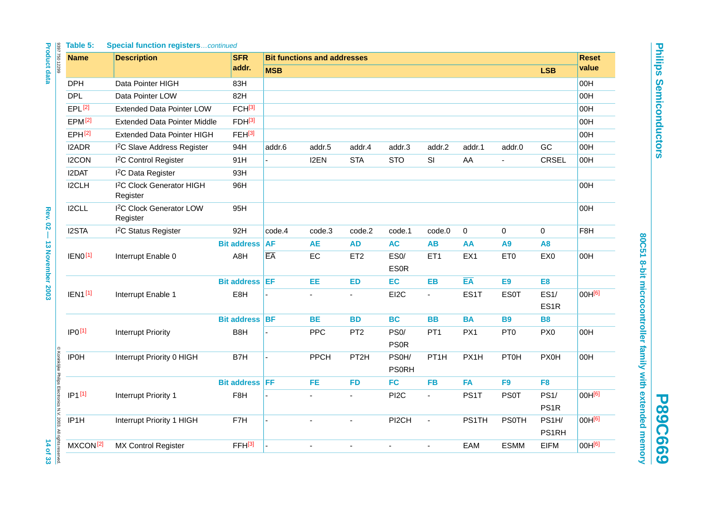| г<br>ī |
|--------|
|        |
|        |
| ì      |
| ľ<br>1 |
| I<br>١ |
| ľ<br>B |
|        |
| ۳      |
|        |
| ľ<br>۱ |
|        |
|        |
| ١      |
|        |
|        |
| j<br>ī |

80C51 8-bit microcontroller family with extended memory **80C51 8-bit microcontroller family with extended memory**

**P89C669**

|                                                                  |                      | Table 5:<br><b>Special function registerscontinued</b> |                       |                 |                                    |                  |                                  |                   |            |                 |                          |                  |
|------------------------------------------------------------------|----------------------|--------------------------------------------------------|-----------------------|-----------------|------------------------------------|------------------|----------------------------------|-------------------|------------|-----------------|--------------------------|------------------|
| <b>Product data</b><br>8397 750 12299                            | <b>Name</b>          | <b>Description</b>                                     | <b>SFR</b>            |                 | <b>Bit functions and addresses</b> |                  |                                  |                   |            |                 |                          |                  |
|                                                                  |                      |                                                        | addr.                 | <b>MSB</b>      |                                    |                  |                                  |                   |            |                 | <b>LSB</b>               | value            |
|                                                                  | <b>DPH</b>           | Data Pointer HIGH                                      | 83H                   |                 |                                    |                  |                                  |                   |            |                 |                          | 00H              |
|                                                                  | <b>DPL</b>           | Data Pointer LOW                                       | 82H                   |                 |                                    |                  |                                  |                   |            |                 |                          | 00H              |
|                                                                  | EPL[2]               | <b>Extended Data Pointer LOW</b>                       | FCH <sup>[3]</sup>    |                 |                                    |                  |                                  |                   |            |                 |                          | 00H              |
|                                                                  | EPM <sup>[2]</sup>   | <b>Extended Data Pointer Middle</b>                    | $FDH^{[3]}$           |                 |                                    |                  |                                  |                   |            |                 |                          | 00H              |
|                                                                  | EPH[2]               | <b>Extended Data Pointer HIGH</b>                      | FEH[3]                |                 |                                    |                  |                                  |                   |            |                 |                          | 00H              |
|                                                                  | I2ADR                | I <sup>2</sup> C Slave Address Register                | 94H                   | addr.6          | addr.5                             | addr.4           | addr.3                           | addr.2            | addr.1     | addr.0          | GC                       | 00H              |
|                                                                  | I2CON                | <sup>2</sup> C Control Register                        | 91H                   |                 | I2EN                               | <b>STA</b>       | <b>STO</b>                       | SI                | AA         |                 | <b>CRSEL</b>             | 00H              |
|                                                                  | I2DAT                | <sup>2</sup> C Data Register                           | 93H                   |                 |                                    |                  |                                  |                   |            |                 |                          |                  |
|                                                                  | I2CLH                | I <sup>2</sup> C Clock Generator HIGH<br>Register      | 96H                   |                 |                                    |                  |                                  |                   |            |                 |                          | 00H              |
| Rev. 02 -                                                        | I2CLL                | <sup>2</sup> C Clock Generator LOW<br>Register         | 95H                   |                 |                                    |                  |                                  |                   |            |                 |                          | 00H              |
|                                                                  | I2STA                | <sup>2</sup> C Status Register                         | 92H                   | code.4          | code.3                             | code.2           | code.1                           | code.0            | 0          | 0               | 0                        | F <sub>8</sub> H |
|                                                                  |                      |                                                        | <b>Bit address</b>    | <b>AF</b>       | <b>AE</b>                          | <b>AD</b>        | <b>AC</b>                        | <b>AB</b>         | AA         | A <sub>9</sub>  | A <sub>8</sub>           |                  |
| <b>13 November 2003</b>                                          | <b>IEN0[1]</b>       | Interrupt Enable 0                                     | A8H                   | $E\overline{A}$ | EC                                 | ET <sub>2</sub>  | ES <sub>0</sub> /<br><b>ES0R</b> | ET <sub>1</sub>   | EX1        | ET <sub>0</sub> | EX0                      | 00H              |
|                                                                  |                      |                                                        | <b>Bit address EF</b> |                 | EE                                 | <b>ED</b>        | EC                               | <b>EB</b>         | EA         | E9              | E <sub>8</sub>           |                  |
|                                                                  | <b>IEN1[1]</b>       | Interrupt Enable 1                                     | E8H                   |                 |                                    | $\blacksquare$   | EI2C                             | $\blacksquare$    | ES1T       | <b>ES0T</b>     | ES1/<br>ES <sub>1R</sub> | 00H[6]           |
|                                                                  |                      |                                                        | <b>Bit address BF</b> |                 | <b>BE</b>                          | <b>BD</b>        | <b>BC</b>                        | <b>BB</b>         | <b>BA</b>  | <b>B9</b>       | <b>B8</b>                |                  |
|                                                                  | IP <sub>0</sub> [1]  | <b>Interrupt Priority</b>                              | B <sub>8</sub> H      |                 | PPC                                | PT <sub>2</sub>  | PS <sub>0</sub> /<br><b>PS0R</b> | PT <sub>1</sub>   | PX1        | PT <sub>0</sub> | PX <sub>0</sub>          | 00H              |
|                                                                  | <b>IP0H</b>          | Interrupt Priority 0 HIGH                              | B7H                   |                 | PPCH                               | PT <sub>2H</sub> | PS0H/<br><b>PS0RH</b>            | PT <sub>1</sub> H | PX1H       | <b>PT0H</b>     | <b>PX0H</b>              | 00H              |
|                                                                  |                      |                                                        | <b>Bit address FF</b> |                 | <b>FE</b>                          | <b>FD</b>        | <b>FC</b>                        | <b>FB</b>         | <b>FA</b>  | F <sub>9</sub>  | F <sub>8</sub>           |                  |
|                                                                  | $IP1^{[1]}$          | Interrupt Priority 1                                   | F <sub>8</sub> H      |                 |                                    | $\blacksquare$   | PI <sub>2</sub> C                | $\blacksquare$    | PS1T       | <b>PS0T</b>     | PS1/<br>PS <sub>1R</sub> | 00H[6]           |
| © Koninklijke Philips Electronics N.V. 2003. All rights reserved | IP <sub>1</sub> H    | Interrupt Priority 1 HIGH                              | F7H                   |                 |                                    |                  | PI2CH                            | ä,                | PS1TH      | <b>PS0TH</b>    | PS1H/<br>PS1RH           | 00H[6]           |
| 14 of 33                                                         | MXCON <sup>[2]</sup> | <b>MX Control Register</b>                             | FFH <sup>[3]</sup>    |                 |                                    | L.               | L.                               | $\overline{a}$    | <b>EAM</b> | <b>ESMM</b>     | <b>EIFM</b>              | 00H[6]           |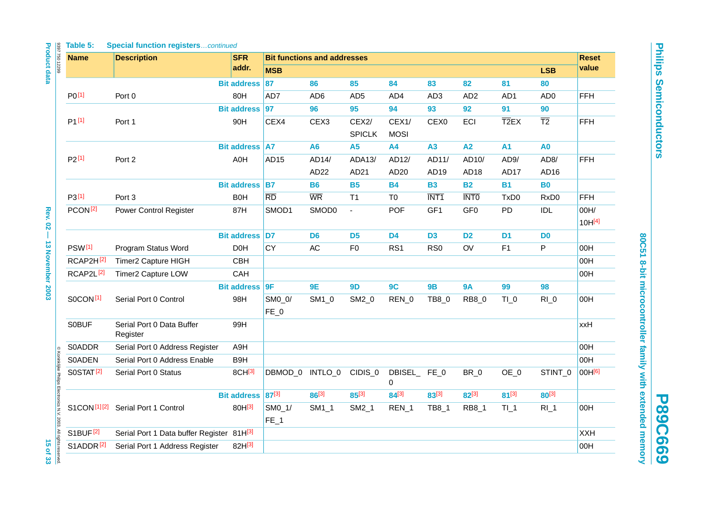**P89C669**

| Table 5: |  |  | <b>Special function registerscontinued</b> |  |
|----------|--|--|--------------------------------------------|--|
|----------|--|--|--------------------------------------------|--|

| 8397 750 12299<br><b>Name</b>                                                             |                       | <b>Description</b>                            | <b>SFR</b>         | <b>Bit functions and addresses</b> |                  |                             |                      |                           |                           |                           |                           |                            |
|-------------------------------------------------------------------------------------------|-----------------------|-----------------------------------------------|--------------------|------------------------------------|------------------|-----------------------------|----------------------|---------------------------|---------------------------|---------------------------|---------------------------|----------------------------|
|                                                                                           |                       |                                               | addr.              | <b>MSB</b>                         |                  |                             |                      |                           |                           |                           | <b>LSB</b>                | value                      |
|                                                                                           |                       |                                               | <b>Bit address</b> | 87                                 | 86               | 85                          | 84                   | 83                        | 82                        | 81                        | 80                        |                            |
| PO <sup>[1]</sup>                                                                         |                       | Port 0                                        | 80H                | AD7                                | AD <sub>6</sub>  | AD <sub>5</sub>             | AD4                  | AD <sub>3</sub>           | AD <sub>2</sub>           | AD1                       | AD <sub>0</sub>           | <b>FFH</b>                 |
|                                                                                           |                       |                                               | <b>Bit address</b> | 97                                 | 96               | 95                          | 94                   | 93                        | 92                        | 91                        | 90                        |                            |
| $P1^{[1]}$                                                                                |                       | Port 1                                        | 90H                | CEX4                               | CEX <sub>3</sub> | CEX2/<br><b>SPICLK</b>      | CEX1/<br><b>MOSI</b> | CEX <sub>0</sub>          | ECI                       | $\overline{\text{T2}}$ EX | $\overline{12}$           | <b>FFH</b>                 |
|                                                                                           |                       |                                               | <b>Bit address</b> | <b>A7</b>                          | A <sub>6</sub>   | <b>A5</b>                   | <b>A4</b>            | A3                        | A2                        | <b>A1</b>                 | A <sub>0</sub>            |                            |
| $P2^{[1]}$                                                                                |                       | Port 2                                        | A0H                | AD <sub>15</sub>                   | AD14/<br>AD22    | ADA13/<br>AD21              | AD12/<br>AD20        | AD11/<br>AD <sub>19</sub> | AD10/<br>AD <sub>18</sub> | AD9/<br>AD17              | AD <sub>8</sub> /<br>AD16 | <b>FFH</b>                 |
|                                                                                           |                       |                                               | <b>Bit address</b> | <b>B7</b>                          | <b>B6</b>        | <b>B5</b>                   | <b>B4</b>            | <b>B3</b>                 | <b>B2</b>                 | <b>B1</b>                 | <b>B0</b>                 |                            |
| P3[1]                                                                                     |                       | Port 3                                        | <b>B0H</b>         | $\overline{RD}$                    | <b>WR</b>        | T1                          | T0                   | INT <sub>1</sub>          | <b>INTO</b>               | TxD0                      | RxD <sub>0</sub>          | <b>FFH</b>                 |
| PCON <sup>[2]</sup>                                                                       |                       | Power Control Register                        | 87H                | SMOD1                              | SMOD0            | $\mathcal{L}_{\mathcal{A}}$ | <b>POF</b>           | GF1                       | GF <sub>0</sub>           | PD                        | <b>IDL</b>                | 00H/<br>10H <sup>[4]</sup> |
|                                                                                           |                       |                                               | Bit address D7     |                                    | D <sub>6</sub>   | D <sub>5</sub>              | D <sub>4</sub>       | D <sub>3</sub>            | D <sub>2</sub>            | D <sub>1</sub>            | D <sub>0</sub>            |                            |
| <b>PSW[1]</b>                                                                             |                       | Program Status Word                           | D <sub>0</sub> H   | CY                                 | AC               | F <sub>0</sub>              | RS1                  | RS <sub>0</sub>           | OV                        | F1                        | ${\sf P}$                 | 00H                        |
|                                                                                           | RCAP2H <sup>[2]</sup> | Timer2 Capture HIGH                           | CBH                |                                    |                  |                             |                      |                           |                           |                           |                           | 00H                        |
|                                                                                           | RCAP2L <sup>[2]</sup> | Timer2 Capture LOW                            | CAH                |                                    |                  |                             |                      |                           |                           |                           |                           | 00H                        |
|                                                                                           |                       |                                               | <b>Bit address</b> | <b>9F</b>                          | 9E               | <b>9D</b>                   | 9C                   | 9B                        | <b>9A</b>                 | 99                        | 98                        |                            |
| S0CON <sup>[1]</sup>                                                                      |                       | Serial Port 0 Control                         | 98H                | SM0_0/<br>$FE_0$                   | SM1_0            | SM2_0                       | REN_0                | TB8_0                     | RB8_0                     | $TI_0$                    | $RI_0$                    | 00H                        |
| <b>SOBUF</b>                                                                              |                       | Serial Port 0 Data Buffer<br>Register         | 99H                |                                    |                  |                             |                      |                           |                           |                           |                           | xxH                        |
| <b>S0ADDR</b>                                                                             |                       | Serial Port 0 Address Register                | A9H                |                                    |                  |                             |                      |                           |                           |                           |                           | 00H                        |
| <b>S0ADEN</b>                                                                             |                       | Serial Port 0 Address Enable                  | B9H                |                                    |                  |                             |                      |                           |                           |                           |                           | 00H                        |
| © Koninklijke Philips Electronics N.V. 2003. All rights reserved<br>SOSTAT <sup>[2]</sup> |                       | Serial Port 0 Status                          | 8CH[3]             | DBMOD_0                            | INTLO 0          | CIDIS <sub>0</sub>          | DBISEL_FE_0<br>0     |                           | BR_0                      | OE_0                      | STINT_0                   | 00H <sup>[6]</sup>         |
|                                                                                           |                       |                                               | <b>Bit address</b> | 87[3]                              | 86[3]            | 85[3]                       | $84^{[3]}$           | 83[3]                     | 82[3]                     | $81^{[3]}$                | $80^{[3]}$                |                            |
|                                                                                           |                       | S1CON <sup>[1][2]</sup> Serial Port 1 Control | 80H[3]             | $SM0_1$<br>$FE_1$                  | $SM1_1$          | $SM2_1$                     | $REN_1$              | <b>TB8_1</b>              | <b>RB8_1</b>              | TL1                       | $RI_1$                    | 00H                        |
| S1BUF <sup>[2]</sup>                                                                      |                       | Serial Port 1 Data buffer Register 81H[3]     |                    |                                    |                  |                             |                      |                           |                           |                           |                           | <b>XXH</b>                 |
|                                                                                           | S1ADDR <sup>[2]</sup> | Serial Port 1 Address Register                | 82H[3]             |                                    |                  |                             |                      |                           |                           |                           |                           | 00H                        |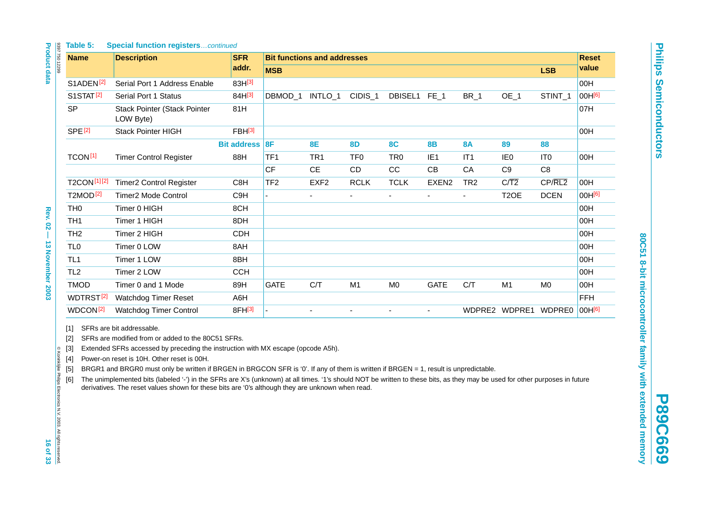**P89C669**

<span id="page-15-5"></span><span id="page-15-4"></span><span id="page-15-3"></span><span id="page-15-2"></span><span id="page-15-1"></span><span id="page-15-0"></span>

|                                                                              | Table 5:                                 | <b>Special function registerscontinued</b>                                                                                                                                                                                                                                                                                                                                                                                                                                                                                                                                                                                                   |                    |                 |                                    |                    |                 |                   |                 |                      |                 |                    |  |
|------------------------------------------------------------------------------|------------------------------------------|----------------------------------------------------------------------------------------------------------------------------------------------------------------------------------------------------------------------------------------------------------------------------------------------------------------------------------------------------------------------------------------------------------------------------------------------------------------------------------------------------------------------------------------------------------------------------------------------------------------------------------------------|--------------------|-----------------|------------------------------------|--------------------|-----------------|-------------------|-----------------|----------------------|-----------------|--------------------|--|
| <b>Product data</b><br>8397 750 12299                                        | <b>Name</b>                              | <b>Description</b>                                                                                                                                                                                                                                                                                                                                                                                                                                                                                                                                                                                                                           | <b>SFR</b>         |                 | <b>Bit functions and addresses</b> |                    |                 |                   |                 |                      |                 |                    |  |
|                                                                              |                                          |                                                                                                                                                                                                                                                                                                                                                                                                                                                                                                                                                                                                                                              | addr.              | <b>MSB</b>      |                                    |                    |                 |                   |                 |                      | <b>LSB</b>      | value              |  |
|                                                                              | S1ADEN <sup>[2]</sup>                    | Serial Port 1 Address Enable                                                                                                                                                                                                                                                                                                                                                                                                                                                                                                                                                                                                                 | 83H[3]             |                 |                                    |                    |                 |                   |                 |                      |                 | 00H                |  |
|                                                                              | S1STAT <sup>[2]</sup>                    | Serial Port 1 Status                                                                                                                                                                                                                                                                                                                                                                                                                                                                                                                                                                                                                         | 84H[3]             | DBMOD_1 INTLO_1 |                                    | CIDIS <sub>1</sub> | DBISEL1 FE_1    |                   | BR <sub>1</sub> | OE_1                 | STINT_1         | 00H <sup>[6]</sup> |  |
|                                                                              | <b>SP</b>                                | <b>Stack Pointer (Stack Pointer</b><br>LOW Byte)                                                                                                                                                                                                                                                                                                                                                                                                                                                                                                                                                                                             | 81H                |                 |                                    |                    |                 |                   |                 |                      |                 | 07H                |  |
|                                                                              | <b>SPE<sup>[2]</sup></b>                 | Stack Pointer HIGH                                                                                                                                                                                                                                                                                                                                                                                                                                                                                                                                                                                                                           | FBH <sup>[3]</sup> |                 |                                    |                    |                 |                   |                 |                      |                 | 00H                |  |
|                                                                              |                                          |                                                                                                                                                                                                                                                                                                                                                                                                                                                                                                                                                                                                                                              | Bit address 8F     |                 | 8E                                 | 8D                 | <b>8C</b>       | <b>8B</b>         | <b>8A</b>       | 89                   | 88              |                    |  |
|                                                                              | TCON <sup>[1]</sup>                      | <b>Timer Control Register</b>                                                                                                                                                                                                                                                                                                                                                                                                                                                                                                                                                                                                                | 88H                | TF1             | TR <sub>1</sub>                    | TF <sub>0</sub>    | TR <sub>0</sub> | IE <sub>1</sub>   | IT <sub>1</sub> | IE <sub>0</sub>      | IT <sub>0</sub> | 00H                |  |
|                                                                              |                                          |                                                                                                                                                                                                                                                                                                                                                                                                                                                                                                                                                                                                                                              |                    | <b>CF</b>       | $\mathsf{CE}$                      | CD                 | CC              | CB                | CA              | C9                   | C <sub>8</sub>  |                    |  |
|                                                                              | <b>T2CON[1][2]</b>                       | <b>Timer2 Control Register</b>                                                                                                                                                                                                                                                                                                                                                                                                                                                                                                                                                                                                               | C <sub>8</sub> H   | TF <sub>2</sub> | EXF <sub>2</sub>                   | <b>RCLK</b>        | <b>TCLK</b>     | EXEN <sub>2</sub> | TR <sub>2</sub> | $C/\overline{T2}$    | CP/RL2          | 00H                |  |
|                                                                              | <b>T2MOD<sup>[2]</sup></b>               | <b>Timer2 Mode Control</b>                                                                                                                                                                                                                                                                                                                                                                                                                                                                                                                                                                                                                   | C <sub>9</sub> H   |                 |                                    | $\blacksquare$     | ä,              |                   | ä,              | T <sub>2</sub> OE    | <b>DCEN</b>     | 00H[6]             |  |
|                                                                              | TH <sub>0</sub>                          | Timer 0 HIGH                                                                                                                                                                                                                                                                                                                                                                                                                                                                                                                                                                                                                                 | 8CH                |                 |                                    |                    |                 |                   |                 |                      |                 | 00H                |  |
| Rev. 02 -                                                                    | TH <sub>1</sub>                          | Timer 1 HIGH                                                                                                                                                                                                                                                                                                                                                                                                                                                                                                                                                                                                                                 | 8DH                |                 |                                    |                    |                 |                   |                 |                      |                 | 00H                |  |
|                                                                              | TH <sub>2</sub>                          | Timer 2 HIGH                                                                                                                                                                                                                                                                                                                                                                                                                                                                                                                                                                                                                                 | <b>CDH</b>         |                 |                                    |                    |                 |                   |                 |                      |                 | 00H                |  |
|                                                                              | TL <sub>0</sub>                          | Timer 0 LOW                                                                                                                                                                                                                                                                                                                                                                                                                                                                                                                                                                                                                                  | 8AH                |                 |                                    |                    |                 |                   |                 |                      |                 | 00H                |  |
| <b>13 November 2003</b>                                                      | TL <sub>1</sub>                          | Timer 1 LOW                                                                                                                                                                                                                                                                                                                                                                                                                                                                                                                                                                                                                                  | 8BH                |                 |                                    |                    |                 |                   |                 |                      |                 | 00H                |  |
|                                                                              | TL <sub>2</sub>                          | Timer 2 LOW                                                                                                                                                                                                                                                                                                                                                                                                                                                                                                                                                                                                                                  | <b>CCH</b>         |                 |                                    |                    |                 |                   |                 |                      |                 | 00H                |  |
|                                                                              | <b>TMOD</b>                              | Timer 0 and 1 Mode                                                                                                                                                                                                                                                                                                                                                                                                                                                                                                                                                                                                                           | 89H                | <b>GATE</b>     | C/T                                | M <sub>1</sub>     | M <sub>0</sub>  | <b>GATE</b>       | C/T             | M1                   | M <sub>0</sub>  | 00H                |  |
|                                                                              | WDTRST <sup>[2]</sup>                    | <b>Watchdog Timer Reset</b>                                                                                                                                                                                                                                                                                                                                                                                                                                                                                                                                                                                                                  | A6H                |                 |                                    |                    |                 |                   |                 |                      |                 | <b>FFH</b>         |  |
|                                                                              | WDCON <sup>[2]</sup>                     | Watchdog Timer Control                                                                                                                                                                                                                                                                                                                                                                                                                                                                                                                                                                                                                       | 8FH[3]             |                 |                                    | ÷,                 | ÷,              | ÷,                |                 | WDPRE2 WDPRE1 WDPRE0 |                 | 00H <sup>[6]</sup> |  |
| © Koninklijke Philips Electronics N.V. 2003. All rights reserved<br>16 of 33 | [1]<br>[2]<br>$[3]$<br>[4]<br>[5]<br>[6] | SFRs are bit addressable.<br>SFRs are modified from or added to the 80C51 SFRs.<br>Extended SFRs accessed by preceding the instruction with MX escape (opcode A5h).<br>Power-on reset is 10H. Other reset is 00H.<br>BRGR1 and BRGR0 must only be written if BRGEN in BRGCON SFR is '0'. If any of them is written if BRGEN = 1, result is unpredictable.<br>The unimplemented bits (labeled '-') in the SFRs are X's (unknown) at all times. '1's should NOT be written to these bits, as they may be used for other purposes in future<br>derivatives. The reset values shown for these bits are '0's although they are unknown when read. |                    |                 |                                    |                    |                 |                   |                 |                      |                 |                    |  |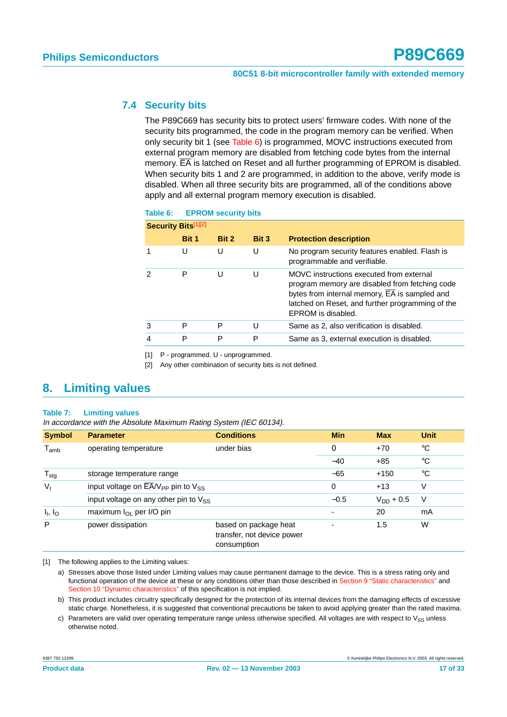## <span id="page-16-3"></span>**7.4 Security bits**

The P89C669 has security bits to protect users' firmware codes. With none of the security bits programmed, the code in the program memory can be verified. When only security bit 1 (see [Table 6](#page-16-2)) is programmed, MOVC instructions executed from external program memory are disabled from fetching code bytes from the internal memory.  $\overline{EA}$  is latched on Reset and all further programming of EPROM is disabled. When security bits 1 and 2 are programmed, in addition to the above, verify mode is disabled. When all three security bits are programmed, all of the conditions above apply and all external program memory execution is disabled.

#### <span id="page-16-2"></span>**Table 6: EPROM security bits**

| <b>Security Bits[1][2]</b> |       |       |       |                                                                                                                                                                                                                                    |
|----------------------------|-------|-------|-------|------------------------------------------------------------------------------------------------------------------------------------------------------------------------------------------------------------------------------------|
|                            | Bit 1 | Bit 2 | Bit 3 | <b>Protection description</b>                                                                                                                                                                                                      |
|                            | U     | U     | U     | No program security features enabled. Flash is<br>programmable and verifiable.                                                                                                                                                     |
| 2                          | P     | U     | U     | MOVC instructions executed from external<br>program memory are disabled from fetching code<br>bytes from internal memory, $\overline{EA}$ is sampled and<br>latched on Reset, and further programming of the<br>EPROM is disabled. |
| 3                          | P     | P     | U     | Same as 2, also verification is disabled.                                                                                                                                                                                          |
| 4                          | Р     | P     | P     | Same as 3, external execution is disabled.                                                                                                                                                                                         |

<span id="page-16-0"></span>[1] P - programmed. U - unprogrammed.

<span id="page-16-1"></span>[2] Any other combination of security bits is not defined.

# <span id="page-16-4"></span>**8. Limiting values**

#### **Table 7: Limiting values**

In accordance with the Absolute Maximum Rating System (IEC 60134).

| <b>Symbol</b>                   | <b>Parameter</b>                                        | <b>Conditions</b>                                                  | <b>Min</b> | <b>Max</b>     | <b>Unit</b> |
|---------------------------------|---------------------------------------------------------|--------------------------------------------------------------------|------------|----------------|-------------|
| $T_{\mathsf{amb}}$              | operating temperature                                   | under bias                                                         | $\Omega$   | $+70$          | $^{\circ}C$ |
|                                 |                                                         |                                                                    | $-40$      | $+85$          | $^{\circ}C$ |
| $T_{\text{stg}}$                | storage temperature range                               |                                                                    | $-65$      | $+150$         | $^{\circ}C$ |
| $V_{1}$                         | input voltage on $\overline{EA}/V_{PP}$ pin to $V_{SS}$ |                                                                    | 0          | $+13$          | ٧           |
|                                 | input voltage on any other pin to $V_{SS}$              |                                                                    | $-0.5$     | $V_{DD}$ + 0.5 | V           |
| I <sub>1</sub> , I <sub>O</sub> | maximum $I_{OL}$ per I/O pin                            |                                                                    | ٠          | 20             | mA          |
| P                               | power dissipation                                       | based on package heat<br>transfer, not device power<br>consumption |            | 1.5            | W           |

[1] The following applies to the Limiting values:

a) Stresses above those listed under Limiting values may cause permanent damage to the device. This is a stress rating only and functional operation of the device at these or any conditions other than those described in [Section 9 "Static characteristics"](#page-17-0) and [Section 10 "Dynamic characteristics"](#page-18-0) of this specification is not implied.

b) This product includes circuitry specifically designed for the protection of its internal devices from the damaging effects of excessive static charge. Nonetheless, it is suggested that conventional precautions be taken to avoid applying greater than the rated maxima.

c) Parameters are valid over operating temperature range unless otherwise specified. All voltages are with respect to  $V_{SS}$  unless otherwise noted.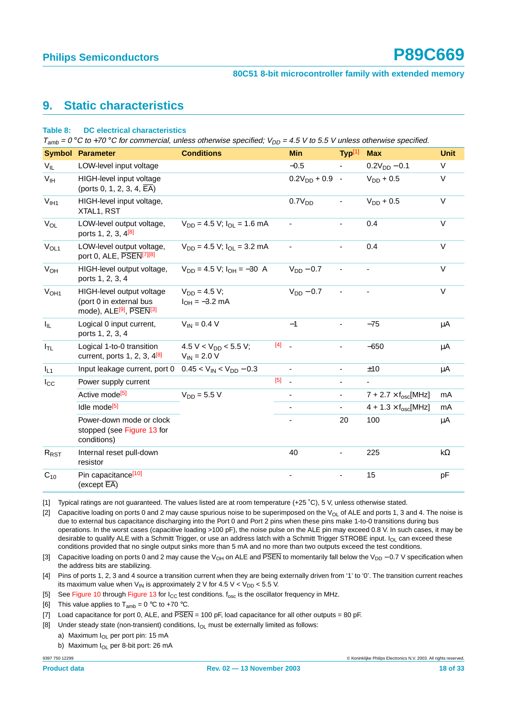# <span id="page-17-0"></span>**9. Static characteristics**

#### **Table 8: DC electrical characteristics**

 $T_{amb} = 0$  °C to +70 °C for commercial, unless otherwise specified;  $V_{DD} = 4.5$  V to 5.5 V unless otherwise specified.

|                       | <b>Symbol Parameter</b>                                                                                 | <b>Conditions</b>                             |     | <b>Min</b>          | Typ <sup>[1]</sup>       | <b>Max</b>                                  | <b>Unit</b> |
|-----------------------|---------------------------------------------------------------------------------------------------------|-----------------------------------------------|-----|---------------------|--------------------------|---------------------------------------------|-------------|
| $V_{IL}$              | LOW-level input voltage                                                                                 |                                               |     | $-0.5$              | $\blacksquare$           | $0.2V_{DD} - 0.1$                           | $\vee$      |
| V <sub>IH</sub>       | HIGH-level input voltage<br>(ports 0, 1, 2, 3, 4, $\overline{EA}$ )                                     |                                               |     | $0.2V_{DD} + 0.9$ - |                          | $V_{DD}$ + 0.5                              | $\vee$      |
| V <sub>IH1</sub>      | HIGH-level input voltage,<br>XTAL1, RST                                                                 |                                               |     | 0.7V <sub>DD</sub>  | $\overline{\phantom{a}}$ | $V_{DD} + 0.5$                              | $\vee$      |
| VOL                   | LOW-level output voltage,<br>ports 1, 2, 3, 4 <sup>[8]</sup>                                            | $V_{DD} = 4.5 V$ ; $I_{OL} = 1.6 mA$          |     |                     |                          | 0.4                                         | $\vee$      |
| $V_{OL1}$             | LOW-level output voltage,<br>port 0, ALE, PSEN[7][8]                                                    | $V_{DD} = 4.5 V$ ; $I_{OI} = 3.2 mA$          |     |                     |                          | 0.4                                         | $\vee$      |
| <b>V<sub>OH</sub></b> | HIGH-level output voltage,<br>ports 1, 2, 3, 4                                                          | $V_{DD} = 4.5 V: I_{DH} = -30 A$              |     | $V_{DD} - 0.7$      |                          |                                             | $\vee$      |
| V <sub>OH1</sub>      | HIGH-level output voltage<br>(port 0 in external bus<br>mode), ALE <sup>[9]</sup> , PSEN <sup>[3]</sup> | $V_{DD} = 4.5 V:$<br>$I_{OH} = -3.2$ mA       |     | $V_{DD} - 0.7$      |                          |                                             | $\vee$      |
| $I_{IL}$              | Logical 0 input current,<br>ports 1, 2, 3, 4                                                            | $V_{IN} = 0.4 V$                              |     | $-1$                |                          | $-75$                                       | μA          |
| $I_{TL}$              | Logical 1-to-0 transition<br>current, ports $1, 2, 3, 4^{8}$                                            | 4.5 V < $V_{DD}$ < 5.5 V;<br>$V_{IN}$ = 2.0 V | [4] |                     | $\overline{\phantom{a}}$ | $-650$                                      | μA          |
| $I_{L1}$              | Input leakage current, port 0                                                                           | $0.45 < V_{IN} < V_{DD} - 0.3$                |     |                     | $\overline{\phantom{a}}$ | ±10                                         | μA          |
| $I_{\rm CC}$          | Power supply current                                                                                    |                                               | [5] |                     | $\overline{\phantom{a}}$ | $\overline{\phantom{a}}$                    |             |
|                       | Active mode <sup>[5]</sup>                                                                              | $V_{DD} = 5.5 V$                              |     |                     | $\overline{\phantom{a}}$ | $7 + 2.7 \times f_{\text{osc}}[\text{MHz}]$ | mA          |
|                       | Idle mode <sup>[5]</sup>                                                                                |                                               |     |                     |                          | $4 + 1.3 \times f_{\text{osc}}[\text{MHz}]$ | mA          |
|                       | Power-down mode or clock<br>stopped (see Figure 13 for<br>conditions)                                   |                                               |     |                     | 20                       | 100                                         | μA          |
| R <sub>RST</sub>      | Internal reset pull-down<br>resistor                                                                    |                                               |     | 40                  |                          | 225                                         | $k\Omega$   |
| $C_{10}$              | Pin capacitance <sup>[10]</sup><br>(except $\overline{\mathsf{EA}}$ )                                   |                                               |     |                     |                          | 15                                          | рF          |

<span id="page-17-1"></span>[1] Typical ratings are not guaranteed. The values listed are at room temperature (+25 ˚C), 5 V, unless otherwise stated.

[2] Capacitive loading on ports 0 and 2 may cause spurious noise to be superimposed on the  $V_{OL}$  of ALE and ports 1, 3 and 4. The noise is due to external bus capacitance discharging into the Port 0 and Port 2 pins when these pins make 1-to-0 transitions during bus operations. In the worst cases (capacitive loading >100 pF), the noise pulse on the ALE pin may exceed 0.8 V. In such cases, it may be desirable to qualify ALE with a Schmitt Trigger, or use an address latch with a Schmitt Trigger STROBE input.  $I_{OI}$  can exceed these conditions provided that no single output sinks more than 5 mA and no more than two outputs exceed the test conditions.

<span id="page-17-4"></span>[3] Capacitive loading on ports 0 and 2 may cause the V<sub>OH</sub> on ALE and PSEN to momentarily fall below the V<sub>DD</sub> − 0.7 V specification when the address bits are stabilizing.

<span id="page-17-5"></span>[4] Pins of ports 1, 2, 3 and 4 source a transition current when they are being externally driven from '1' to '0'. The transition current reaches its maximum value when  $V_{IN}$  is approximately 2 V for 4.5 V <  $V_{DD}$  < 5.5 V.

<span id="page-17-6"></span>[5] See [Figure 10](#page-23-0) through [Figure 13](#page-24-0) for  $I_{CC}$  test conditions.  $f_{osc}$  is the oscillator frequency in MHz.

[6] This value applies to  $T_{amb} = 0$  °C to +70 °C.

<span id="page-17-3"></span>[7] Load capacitance for port 0, ALE, and  $\overline{PSEN} = 100$  pF, load capacitance for all other outputs = 80 pF.

<span id="page-17-2"></span>[8] Under steady state (non-transient) conditions,  $I<sub>OL</sub>$  must be externally limited as follows:

a) Maximum  $I_{\text{OL}}$  per port pin: 15 mA

b) Maximum I<sub>OL</sub> per 8-bit port: 26 mA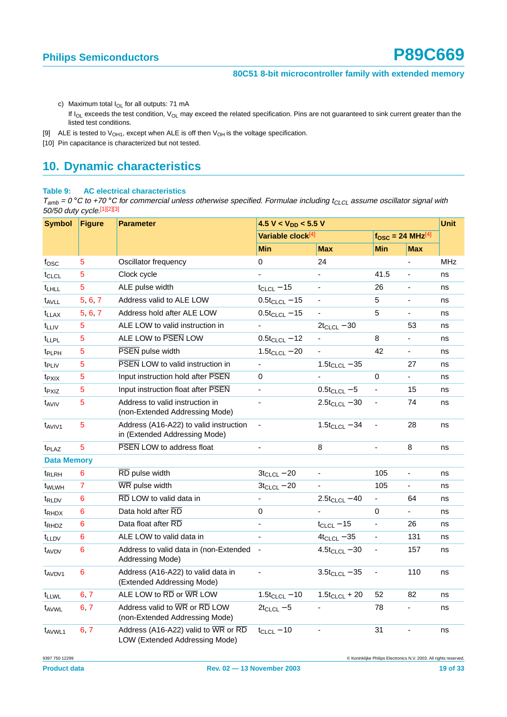- c) Maximum total  $I_{OL}$  for all outputs: 71 mA
	- If  $I_{OL}$  exceeds the test condition,  $V_{OL}$  may exceed the related specification. Pins are not guaranteed to sink current greater than the listed test conditions.
- <span id="page-18-1"></span>[9] ALE is tested to  $V_{OH1}$ , except when ALE is off then  $V_{OH}$  is the voltage specification.
- <span id="page-18-2"></span>[10] Pin capacitance is characterized but not tested.

# <span id="page-18-0"></span>**10. Dynamic characteristics**

#### **Table 9: AC electrical characteristics**

 $T_{amb}$  = 0 °C to +70 °C for commercial unless otherwise specified. Formulae including t<sub>CLCL</sub> assume oscillator signal with 50/50 duty cycle.[\[1\]](#page-19-0)[\[2\]](#page-19-1)[\[3\]](#page-19-2)

| <b>Symbol</b>      | <b>Figure</b>  | <b>Parameter</b>                                                        | 4.5 V < $V_{DD}$ < 5.5 V      |                    |                          | <b>Unit</b>    |            |
|--------------------|----------------|-------------------------------------------------------------------------|-------------------------------|--------------------|--------------------------|----------------|------------|
|                    |                |                                                                         | Variable clock <sup>[4]</sup> |                    | $fOSC = 24 MHz[4]$       |                |            |
|                    |                |                                                                         | Min                           | <b>Max</b>         | Min                      | <b>Max</b>     |            |
| $f_{\rm OSC}$      | $\overline{5}$ | Oscillator frequency                                                    | 0                             | 24                 |                          |                | <b>MHz</b> |
| $t_{CLCL}$         | 5              | Clock cycle                                                             |                               |                    | 41.5                     |                | ns         |
| t <sub>LHLL</sub>  | $\overline{5}$ | ALE pulse width                                                         | $t_{CLCL}$ – 15               | $\blacksquare$     | 26                       | $\frac{1}{2}$  | ns         |
| $t_{AVLL}$         | 5 6 7          | Address valid to ALE LOW                                                | $0.5t_{CLCL} - 15$            | $\blacksquare$     | 5                        | ÷,             | ns         |
| <sup>t</sup> LLAX  | 5, 6, 7        | Address hold after ALE LOW                                              | $0.5t_{CLCL} - 15$            | ä,                 | 5                        | $\blacksquare$ | ns         |
| $t_{LLIV}$         | $\overline{5}$ | ALE LOW to valid instruction in                                         |                               | $2t_{CLCL} - 30$   |                          | 53             | ns         |
| t <sub>LLPL</sub>  | 5              | ALE LOW to PSEN LOW                                                     | $0.5t_{CLCL} - 12$            |                    | 8                        |                | ns         |
| t <sub>PLPH</sub>  | $\overline{5}$ | PSEN pulse width                                                        | $1.5t_{CLCL} - 20$            |                    | 42                       | $\frac{1}{2}$  | ns         |
| t <sub>PLIV</sub>  | 5              | <b>PSEN LOW to valid instruction in</b>                                 | $\frac{1}{2}$                 | $1.5t_{CLCL} - 35$ |                          | 27             | ns         |
| $t_{PXIX}$         | 5              | Input instruction hold after PSEN                                       | 0                             |                    | 0                        | ÷.             | ns         |
| t <sub>PXIZ</sub>  | 5              | Input instruction float after PSEN                                      |                               | $0.5t_{CLCL} - 5$  |                          | 15             | ns         |
| $t_{AVIV}$         | $\overline{5}$ | Address to valid instruction in<br>(non-Extended Addressing Mode)       | $\blacksquare$                | $2.5t_{CLCL} - 30$ | $\blacksquare$           | 74             | ns         |
| t <sub>AVIV1</sub> | $\overline{5}$ | Address (A16-A22) to valid instruction<br>in (Extended Addressing Mode) | $\blacksquare$                | $1.5t_{CLCL} - 34$ |                          | 28             | ns         |
| t <sub>PLAZ</sub>  | 5              | PSEN LOW to address float                                               | $\qquad \qquad \blacksquare$  | 8                  | $\overline{\phantom{0}}$ | 8              | ns         |
| <b>Data Memory</b> |                |                                                                         |                               |                    |                          |                |            |
| t <sub>RLRH</sub>  | 6              | RD pulse width                                                          | $3t_{CLCL} - 20$              | ÷,                 | 105                      | ÷,             | ns         |
| t <sub>WLWH</sub>  | $\overline{7}$ | WR pulse width                                                          | $3t_{CLCL} - 20$              |                    | 105                      | ÷.             | ns         |
| t <sub>RLDV</sub>  | 6              | RD LOW to valid data in                                                 |                               | $2.5t_{CLCL} - 40$ |                          | 64             | ns         |
| t <sub>RHDX</sub>  | 6              | Data hold after RD                                                      | 0                             |                    | 0                        |                | ns         |
| t <sub>RHDZ</sub>  | 6              | Data float after RD                                                     | $\overline{\phantom{a}}$      | $t_{CLCL} - 15$    | ÷,                       | 26             | ns         |
| t <sub>LLDV</sub>  | 6              | ALE LOW to valid data in                                                |                               | $4t_{CLCL} - 35$   | $\overline{\phantom{a}}$ | 131            | ns         |
| t <sub>AVDV</sub>  | 6              | Address to valid data in (non-Extended<br>Addressing Mode)              |                               | $4.5t_{CLCL} - 30$ |                          | 157            | ns         |
| $t_{AVDV1}$        | 6              | Address (A16-A22) to valid data in<br>(Extended Addressing Mode)        |                               | $3.5t_{CLCL} - 35$ | ÷,                       | 110            | ns         |
| t <sub>LLWL</sub>  | 6, 7           | ALE LOW to RD or WR LOW                                                 | $1.5t_{CLCL} - 10$            | $1.5t_{CLCL}$ + 20 | 52                       | 82             | ns         |
| t <sub>AVWL</sub>  | 6, 7           | Address valid to WR or RD LOW<br>(non-Extended Addressing Mode)         | $2t_{CLCL} - 5$               |                    | 78                       |                | ns         |
| t <sub>AVWL1</sub> | 6, 7           | Address (A16-A22) valid to WR or RD<br>LOW (Extended Addressing Mode)   | $t_{CLCL} - 10$               |                    | 31                       |                | ns         |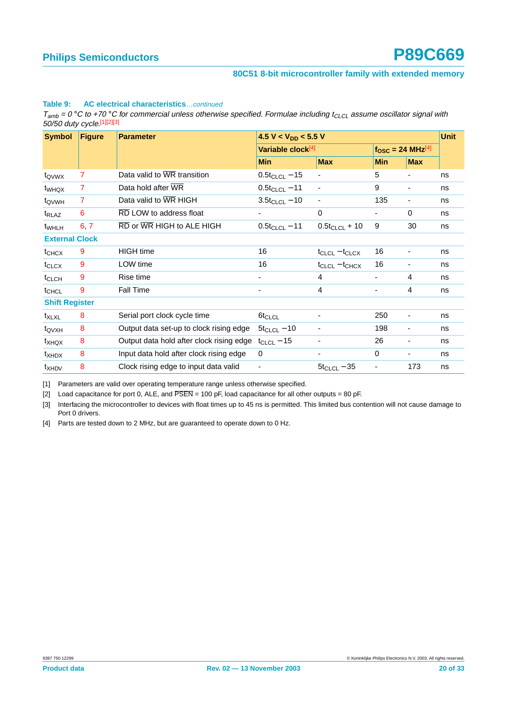#### **Table 9: AC electrical characteristics**…continued

 $T_{amb} = 0$  °C to +70 °C for commercial unless otherwise specified. Formulae including t<sub>CLCL</sub> assume oscillator signal with 50/50 duty cycle.[1][2][3]

| <b>Figure</b><br><b>Symbol</b><br><b>Parameter</b> |                |                                          | 4.5 V < $V_{DD}$ < 5.5 V |                               |                                       |                          |    |
|----------------------------------------------------|----------------|------------------------------------------|--------------------------|-------------------------------|---------------------------------------|--------------------------|----|
|                                                    |                |                                          |                          | Variable clock <sup>[4]</sup> | $f_{\rm OSC}$ = 24 MHz <sup>[4]</sup> |                          |    |
|                                                    |                |                                          | <b>Min</b>               | <b>Max</b>                    | <b>Min</b>                            | <b>Max</b>               |    |
| t <sub>QVWX</sub>                                  | 7              | Data valid to WR transition              | $0.5t_{CLCL} - 15$       |                               | 5                                     |                          | ns |
| t <sub>WHQX</sub>                                  | 7              | Data hold after WR                       | $0.5t_{CLCL} - 11$       | $\overline{\phantom{0}}$      | 9                                     | -                        | ns |
| t <sub>QVWH</sub>                                  | $\overline{7}$ | Data valid to WR HIGH                    | $3.5t_{CLCL} - 10$       |                               | 135                                   | ۰                        | ns |
| t <sub>RLAZ</sub>                                  | 6              | RD LOW to address float                  | ۰                        | 0                             |                                       | 0                        | ns |
| t <sub>WHLH</sub>                                  | 6.7            | RD or WR HIGH to ALE HIGH                | $0.5t_{CLCL} - 11$       | $0.5t_{CLCL} + 10$            | 9                                     | 30                       | ns |
| <b>External Clock</b>                              |                |                                          |                          |                               |                                       |                          |    |
| $t_{CHCX}$                                         | 9              | <b>HIGH</b> time                         | 16                       | $t_{CLCL} - t_{CLCX}$         | 16                                    | ۰                        | ns |
| $t_{CLCX}$                                         | 9              | LOW time                                 | 16                       | $t_{CLCL} - t_{CHCX}$         | 16                                    | ۰                        | ns |
| t <sub>CLCH</sub>                                  | 9              | Rise time                                | -                        | 4                             | ۰                                     | 4                        | ns |
| t <sub>CHCL</sub>                                  | 9              | Fall Time                                | ٠                        | 4                             | ٠                                     | 4                        | ns |
| <b>Shift Register</b>                              |                |                                          |                          |                               |                                       |                          |    |
| $t_{XLXL}$                                         | 8              | Serial port clock cycle time             | $6t_{CLCL}$              |                               | 250                                   | ۰                        | ns |
| t <sub>QVXH</sub>                                  | 8              | Output data set-up to clock rising edge  | $5t_{CLCL} - 10$         | -                             | 198                                   | -                        | ns |
| t <sub>XHQX</sub>                                  | 8              | Output data hold after clock rising edge | $t_{CLCL}$ – 15          |                               | 26                                    | $\overline{\phantom{a}}$ | ns |
| $t_{XHDX}$                                         | 8              | Input data hold after clock rising edge  | $\mathbf 0$              |                               | $\Omega$                              | ٠                        | ns |
| $t_{XHDV}$                                         | 8              | Clock rising edge to input data valid    | -                        | $5t_{CLCL} - 35$              |                                       | 173                      | ns |

<span id="page-19-0"></span>[1] Parameters are valid over operating temperature range unless otherwise specified.

<span id="page-19-1"></span>[2] Load capacitance for port 0, ALE, and PSEN = 100 pF, load capacitance for all other outputs = 80 pF.

<span id="page-19-2"></span>[3] Interfacing the microcontroller to devices with float times up to 45 ns is permitted. This limited bus contention will not cause damage to Port 0 drivers.

<span id="page-19-3"></span>[4] Parts are tested down to 2 MHz, but are guaranteed to operate down to 0 Hz.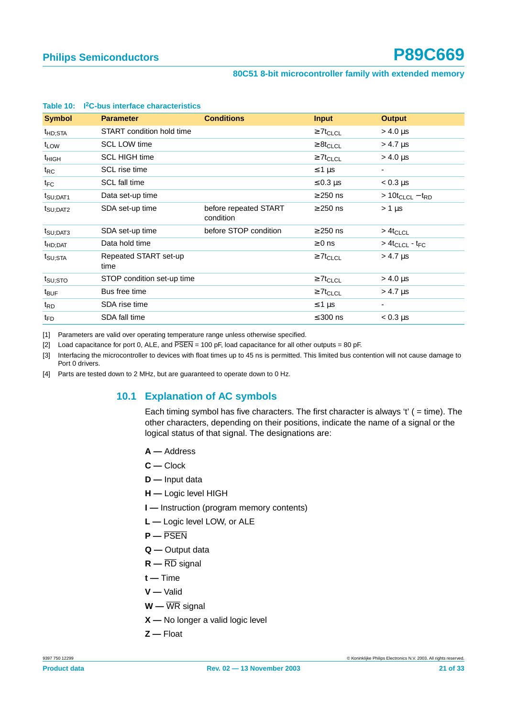| <b>Symbol</b>        | <b>Parameter</b>              | <b>Conditions</b>                  | <b>Input</b>               | <b>Output</b>                          |
|----------------------|-------------------------------|------------------------------------|----------------------------|----------------------------------------|
| <sup>t</sup> HD;STA  | START condition hold time     |                                    | $\geq 7$ t <sub>CLCL</sub> | > 4.0 μs                               |
| t <sub>LOW</sub>     | <b>SCL LOW time</b>           |                                    | $\geq 8t_{CLCL}$           | > 4.7 µs                               |
| $t_{HIGH}$           | <b>SCL HIGH time</b>          |                                    | $\geq 7t_{CLCL}$           | $> 4.0 \,\mu s$                        |
| $t_{\sf RC}$         | SCL rise time                 |                                    | $\leq 1 \,\mu s$           | $\overline{\phantom{a}}$               |
| $t_{\mathsf{FC}}$    | SCL fall time                 |                                    | $\leq 0.3$ µs              | $< 0.3 \mu s$                          |
| t <sub>SU;DAT1</sub> | Data set-up time              |                                    | $\geq$ 250 ns              | $> 10t_{CLCL} - t_{RD}$                |
| t <sub>SU;DAT2</sub> | SDA set-up time               | before repeated START<br>condition | $\geq$ 250 ns              | $> 1 \mu s$                            |
| $t_{\text{SU;DATA}}$ | SDA set-up time               | before STOP condition              | $\geq$ 250 ns              | $>4t_{CLCL}$                           |
| t <sub>HD</sub> :DAT | Data hold time                |                                    | $\geq 0$ ns                | > 4t <sub>CLCL</sub> - t <sub>FC</sub> |
| t <sub>SU;STA</sub>  | Repeated START set-up<br>time |                                    | $\geq 7t_{CLCL}$           | > 4.7 µs                               |
| t <sub>su;sto</sub>  | STOP condition set-up time    |                                    | $\geq 7t_{CLCL}$           | > 4.0 µs                               |
| t <sub>BUF</sub>     | Bus free time                 |                                    | $\geq 7t_{CLCL}$           | $> 4.7 \mu s$                          |
| t <sub>RD</sub>      | SDA rise time                 |                                    | ≤ 1 μs                     | ٠                                      |
| t <sub>FD</sub>      | SDA fall time                 |                                    | $\leq 300$ ns              | $< 0.3 \mu s$                          |

#### **Table 10: I2C-bus interface characteristics**

[1] Parameters are valid over operating temperature range unless otherwise specified.

[2] Load capacitance for port 0, ALE, and  $\overline{PSEN}$  = 100 pF, load capacitance for all other outputs = 80 pF.

[3] Interfacing the microcontroller to devices with float times up to 45 ns is permitted. This limited bus contention will not cause damage to Port 0 drivers.

<span id="page-20-0"></span>[4] Parts are tested down to 2 MHz, but are guaranteed to operate down to 0 Hz.

## **10.1 Explanation of AC symbols**

Each timing symbol has five characters. The first character is always 't'  $( = time)$ . The other characters, depending on their positions, indicate the name of a signal or the logical status of that signal. The designations are:

- **A —** Address
- **C —** Clock
- **D —** Input data
- **H —** Logic level HIGH
- **I —** Instruction (program memory contents)
- **L —** Logic level LOW, or ALE
- **P —** PSEN
- **Q —** Output data
- **R —** RD signal
- **t —** Time
- **V —** Valid
- **W —** WR signal
- **X —** No longer a valid logic level
- **Z —** Float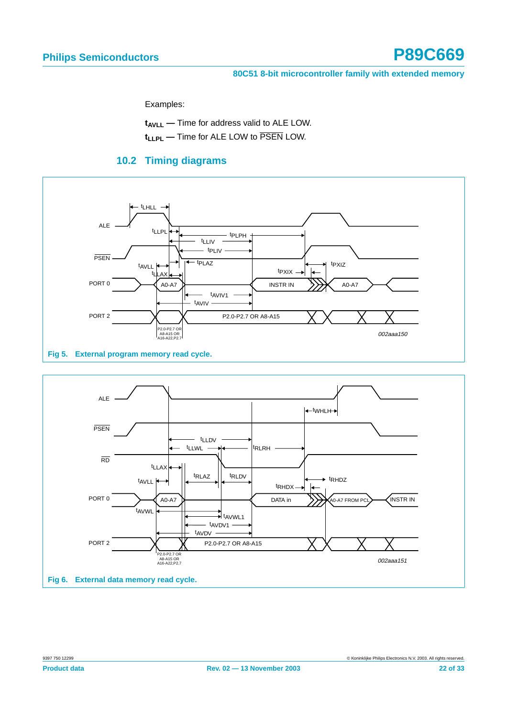Examples:

t<sub>AVLL</sub> - Time for address valid to ALE LOW.

**t<sub>LLPL</sub>** — Time for ALE LOW to PSEN LOW.

# **10.2 Timing diagrams**

<span id="page-21-2"></span>

<span id="page-21-1"></span><span id="page-21-0"></span>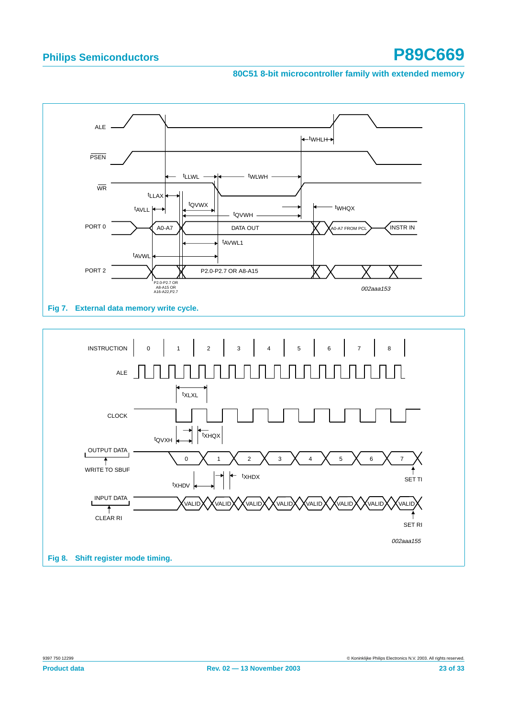<span id="page-22-1"></span><span id="page-22-0"></span>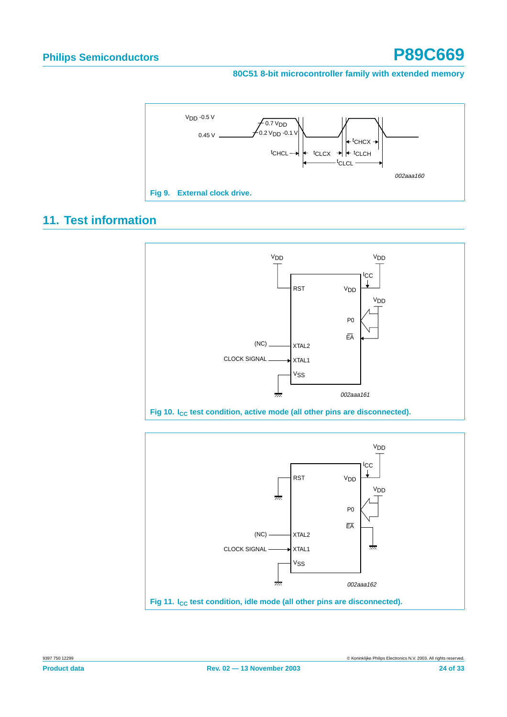

# <span id="page-23-2"></span>**11. Test information**

<span id="page-23-1"></span>

<span id="page-23-0"></span>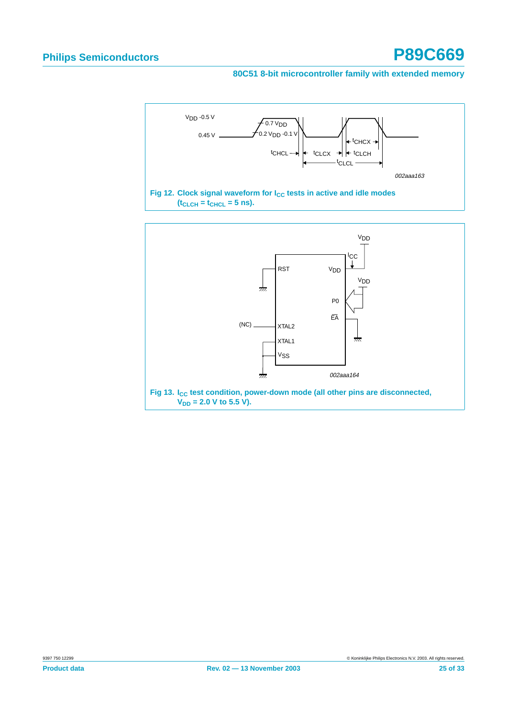

<span id="page-24-0"></span>Fig 13. I<sub>CC</sub> test condition, power-down mode (all other pins are disconnected,  $V_{DD} = 2.0$  V to 5.5 V).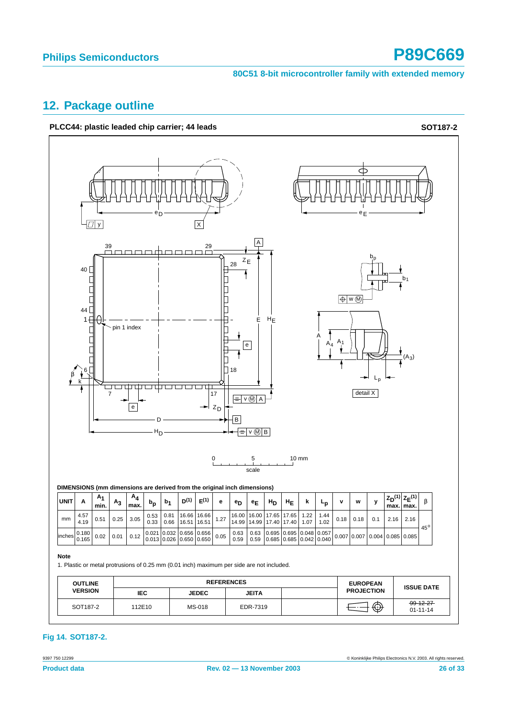# <span id="page-25-0"></span>**12. Package outline**





### **Fig 14. SOT187-2.**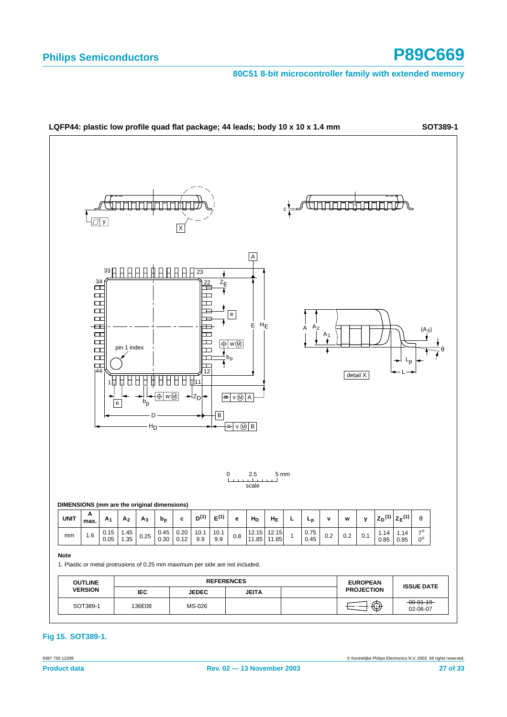

### **Fig 15. SOT389-1.**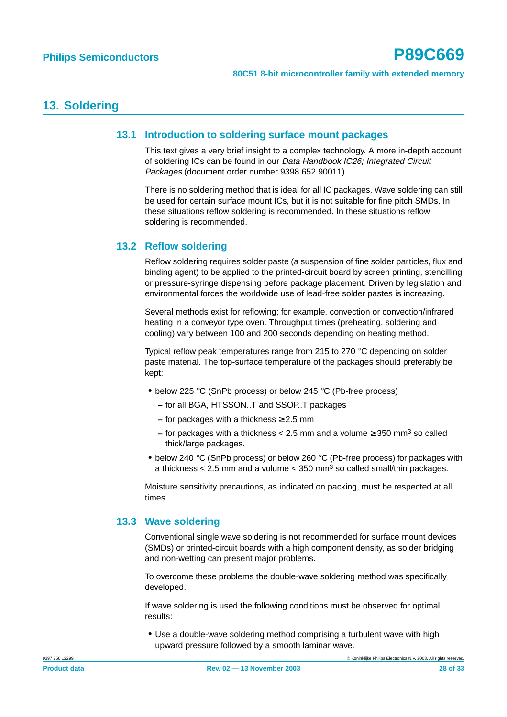# <span id="page-27-1"></span><span id="page-27-0"></span>**13. Soldering**

### **13.1 Introduction to soldering surface mount packages**

This text gives a very brief insight to a complex technology. A more in-depth account of soldering ICs can be found in our Data Handbook IC26; Integrated Circuit Packages (document order number 9398 652 90011).

There is no soldering method that is ideal for all IC packages. Wave soldering can still be used for certain surface mount ICs, but it is not suitable for fine pitch SMDs. In these situations reflow soldering is recommended. In these situations reflow soldering is recommended.

## <span id="page-27-2"></span>**13.2 Reflow soldering**

Reflow soldering requires solder paste (a suspension of fine solder particles, flux and binding agent) to be applied to the printed-circuit board by screen printing, stencilling or pressure-syringe dispensing before package placement. Driven by legislation and environmental forces the worldwide use of lead-free solder pastes is increasing.

Several methods exist for reflowing; for example, convection or convection/infrared heating in a conveyor type oven. Throughput times (preheating, soldering and cooling) vary between 100 and 200 seconds depending on heating method.

Typical reflow peak temperatures range from 215 to 270 °C depending on solder paste material. The top-surface temperature of the packages should preferably be kept:

- **•** below 225 °C (SnPb process) or below 245 °C (Pb-free process)
	- **–** for all BGA, HTSSON..T and SSOP..T packages
	- **–** for packages with a thickness ≥ 2.5 mm
	- **–** for packages with a thickness < 2.5 mm and a volume ≥ 350 mm3 so called thick/large packages.
- **•** below 240 °C (SnPb process) or below 260 °C (Pb-free process) for packages with a thickness  $< 2.5$  mm and a volume  $< 350$  mm<sup>3</sup> so called small/thin packages.

Moisture sensitivity precautions, as indicated on packing, must be respected at all times.

## <span id="page-27-3"></span>**13.3 Wave soldering**

Conventional single wave soldering is not recommended for surface mount devices (SMDs) or printed-circuit boards with a high component density, as solder bridging and non-wetting can present major problems.

To overcome these problems the double-wave soldering method was specifically developed.

If wave soldering is used the following conditions must be observed for optimal results:

**•** Use a double-wave soldering method comprising a turbulent wave with high upward pressure followed by a smooth laminar wave.

9397 750 12299 © Koninklijke Philips Electronics N.V. 2003. All rights reserved.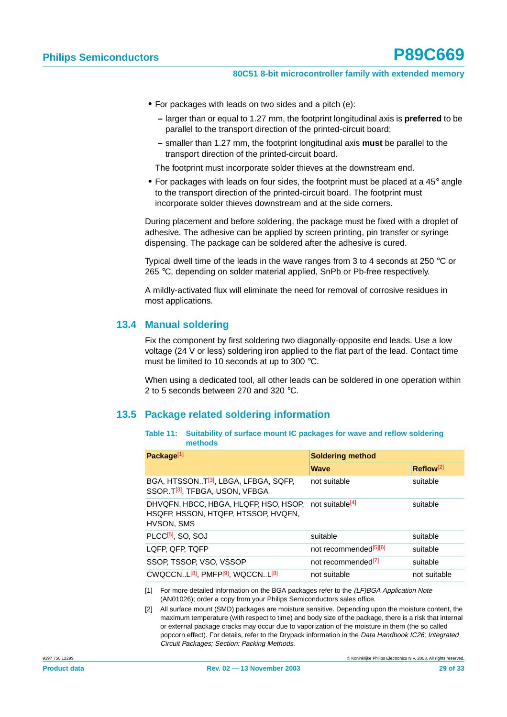- **•** For packages with leads on two sides and a pitch (e):
	- **–** larger than or equal to 1.27 mm, the footprint longitudinal axis is **preferred** to be parallel to the transport direction of the printed-circuit board;
	- **–** smaller than 1.27 mm, the footprint longitudinal axis **must** be parallel to the transport direction of the printed-circuit board.

The footprint must incorporate solder thieves at the downstream end.

**•** For packages with leads on four sides, the footprint must be placed at a 45° angle to the transport direction of the printed-circuit board. The footprint must incorporate solder thieves downstream and at the side corners.

During placement and before soldering, the package must be fixed with a droplet of adhesive. The adhesive can be applied by screen printing, pin transfer or syringe dispensing. The package can be soldered after the adhesive is cured.

Typical dwell time of the leads in the wave ranges from 3 to 4 seconds at 250  $\degree$ C or 265 °C, depending on solder material applied, SnPb or Pb-free respectively.

A mildly-activated flux will eliminate the need for removal of corrosive residues in most applications.

### <span id="page-28-0"></span>**13.4 Manual soldering**

Fix the component by first soldering two diagonally-opposite end leads. Use a low voltage (24 V or less) soldering iron applied to the flat part of the lead. Contact time must be limited to 10 seconds at up to 300 °C.

When using a dedicated tool, all other leads can be soldered in one operation within 2 to 5 seconds between 270 and 320 °C.

### <span id="page-28-1"></span>**13.5 Package related soldering information**

| Table 11: Suitability of surface mount IC packages for wave and reflow soldering |
|----------------------------------------------------------------------------------|
| methods                                                                          |

| Package <sup>[1]</sup>                                                                        | <b>Soldering method</b>           |                       |
|-----------------------------------------------------------------------------------------------|-----------------------------------|-----------------------|
|                                                                                               | <b>Wave</b>                       | Reflow <sup>[2]</sup> |
| BGA, HTSSONT <sup>[3]</sup> , LBGA, LFBGA, SQFP,<br>SSOPT <sup>[3]</sup> , TFBGA, USON, VFBGA | not suitable                      | suitable              |
| DHVQFN, HBCC, HBGA, HLQFP, HSO, HSOP,<br>HSQFP, HSSON, HTQFP, HTSSOP, HVQFN,<br>HVSON, SMS    | not suitable <sup>[4]</sup>       | suitable              |
| PLCC <sup>[5]</sup> , SO, SOJ                                                                 | suitable                          | suitable              |
| LQFP, QFP, TQFP                                                                               | not recommended <sup>[5][6]</sup> | suitable              |
| SSOP, TSSOP, VSO, VSSOP                                                                       | not recommended <sup>[7]</sup>    | suitable              |
| CWQCCNL <sup>[8]</sup> , PMFP <sup>[9]</sup> , WQCCNL <sup>[8]</sup>                          | not suitable                      | not suitable          |

[1] For more detailed information on the BGA packages refer to the (LF)BGA Application Note (AN01026); order a copy from your Philips Semiconductors sales office.

[2] All surface mount (SMD) packages are moisture sensitive. Depending upon the moisture content, the maximum temperature (with respect to time) and body size of the package, there is a risk that internal or external package cracks may occur due to vaporization of the moisture in them (the so called popcorn effect). For details, refer to the Drypack information in the Data Handbook IC26; Integrated Circuit Packages; Section: Packing Methods.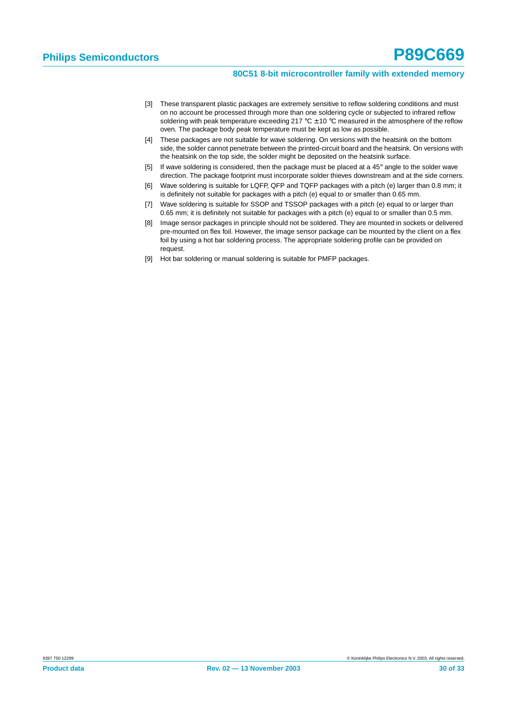- [3] These transparent plastic packages are extremely sensitive to reflow soldering conditions and must on no account be processed through more than one soldering cycle or subjected to infrared reflow soldering with peak temperature exceeding 217  $\degree$ C  $\pm$  10  $\degree$ C measured in the atmosphere of the reflow oven. The package body peak temperature must be kept as low as possible.
- [4] These packages are not suitable for wave soldering. On versions with the heatsink on the bottom side, the solder cannot penetrate between the printed-circuit board and the heatsink. On versions with the heatsink on the top side, the solder might be deposited on the heatsink surface.
- [5] If wave soldering is considered, then the package must be placed at a 45° angle to the solder wave direction. The package footprint must incorporate solder thieves downstream and at the side corners.
- [6] Wave soldering is suitable for LQFP, QFP and TQFP packages with a pitch (e) larger than 0.8 mm; it is definitely not suitable for packages with a pitch (e) equal to or smaller than 0.65 mm.
- [7] Wave soldering is suitable for SSOP and TSSOP packages with a pitch (e) equal to or larger than 0.65 mm; it is definitely not suitable for packages with a pitch (e) equal to or smaller than 0.5 mm.
- [8] Image sensor packages in principle should not be soldered. They are mounted in sockets or delivered pre-mounted on flex foil. However, the image sensor package can be mounted by the client on a flex foil by using a hot bar soldering process. The appropriate soldering profile can be provided on request.
- [9] Hot bar soldering or manual soldering is suitable for PMFP packages.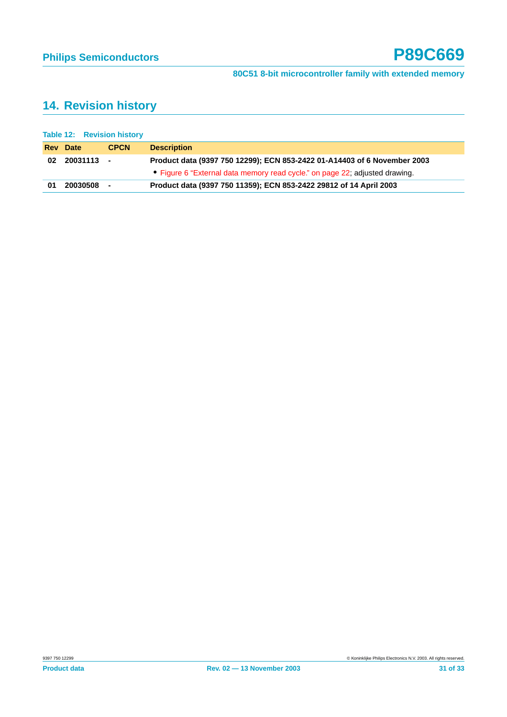# <span id="page-30-0"></span>**14. Revision history**

|    | <b>Table 12: Revision history</b> |             |                                                                             |
|----|-----------------------------------|-------------|-----------------------------------------------------------------------------|
|    | <b>Rev</b> Date                   | <b>CPCN</b> | <b>Description</b>                                                          |
| 02 | 20031113 -                        |             | Product data (9397 750 12299); ECN 853-2422 01-A14403 of 6 November 2003    |
|    |                                   |             | • Figure 6 "External data memory read cycle." on page 22, adjusted drawing. |
| 01 | 20030508 -                        |             | Product data (9397 750 11359); ECN 853-2422 29812 of 14 April 2003          |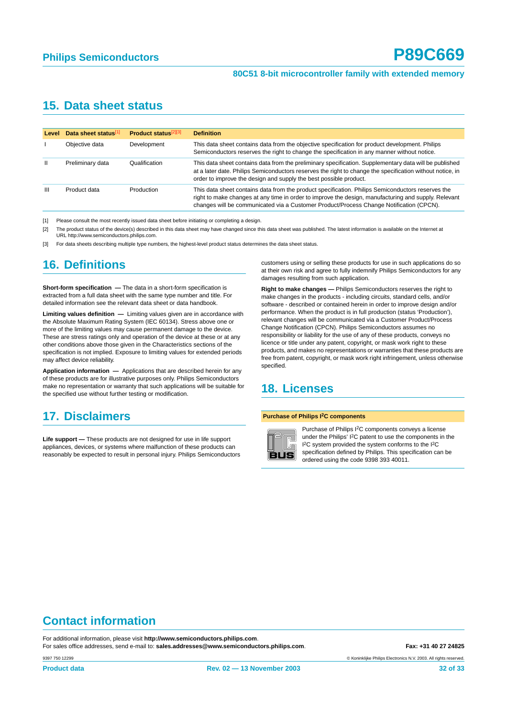# <span id="page-31-3"></span>**15. Data sheet status**

| Level        | Data sheet status[1] | <b>Product status</b> <sup>[2][3]</sup> | <b>Definition</b>                                                                                                                                                                                                                                                                                    |
|--------------|----------------------|-----------------------------------------|------------------------------------------------------------------------------------------------------------------------------------------------------------------------------------------------------------------------------------------------------------------------------------------------------|
|              | Objective data       | Development                             | This data sheet contains data from the objective specification for product development. Philips<br>Semiconductors reserves the right to change the specification in any manner without notice.                                                                                                       |
| $\mathbf{H}$ | Preliminary data     | Qualification                           | This data sheet contains data from the preliminary specification. Supplementary data will be published<br>at a later date. Philips Semiconductors reserves the right to change the specification without notice, in<br>order to improve the design and supply the best possible product.             |
| Ш            | Product data         | Production                              | This data sheet contains data from the product specification. Philips Semiconductors reserves the<br>right to make changes at any time in order to improve the design, manufacturing and supply. Relevant<br>changes will be communicated via a Customer Product/Process Change Notification (CPCN). |

<span id="page-31-0"></span>[1] Please consult the most recently issued data sheet before initiating or completing a design.

<span id="page-31-1"></span>[2] The product status of the device(s) described in this data sheet may have changed since this data sheet was published. The latest information is available on the Internet at URL http://www.semiconductors.philips.com.

<span id="page-31-2"></span>[3] For data sheets describing multiple type numbers, the highest-level product status determines the data sheet status.

# <span id="page-31-4"></span>**16. Definitions**

**Short-form specification —** The data in a short-form specification is extracted from a full data sheet with the same type number and title. For detailed information see the relevant data sheet or data handbook.

**Limiting values definition —** Limiting values given are in accordance with the Absolute Maximum Rating System (IEC 60134). Stress above one or more of the limiting values may cause permanent damage to the device. These are stress ratings only and operation of the device at these or at any other conditions above those given in the Characteristics sections of the specification is not implied. Exposure to limiting values for extended periods may affect device reliability.

**Application information —** Applications that are described herein for any of these products are for illustrative purposes only. Philips Semiconductors make no representation or warranty that such applications will be suitable for the specified use without further testing or modification.

# <span id="page-31-5"></span>**17. Disclaimers**

**Life support —** These products are not designed for use in life support appliances, devices, or systems where malfunction of these products can reasonably be expected to result in personal injury. Philips Semiconductors customers using or selling these products for use in such applications do so at their own risk and agree to fully indemnify Philips Semiconductors for any damages resulting from such application.

**Right to make changes —** Philips Semiconductors reserves the right to make changes in the products - including circuits, standard cells, and/or software - described or contained herein in order to improve design and/or performance. When the product is in full production (status 'Production'), relevant changes will be communicated via a Customer Product/Process Change Notification (CPCN). Philips Semiconductors assumes no responsibility or liability for the use of any of these products, conveys no licence or title under any patent, copyright, or mask work right to these products, and makes no representations or warranties that these products are free from patent, copyright, or mask work right infringement, unless otherwise specified.

# <span id="page-31-6"></span>**18. Licenses**

#### **Purchase of Philips I2C components**



Purchase of Philips I2C components conveys a license under the Philips' I2C patent to use the components in the I 2C system provided the system conforms to the I2C specification defined by Philips. This specification can be ordered using the code 9398 393 40011.

# **Contact information**

For additional information, please visit **http://www.semiconductors.philips.com**. For sales office addresses, send e-mail to: **sales.addresses@www.semiconductors.philips.com**. **Fax: +31 40 27 24825**

© Koninklijke Philips Electronics N.V. 2003. All rights reserved.

9397 750 12299